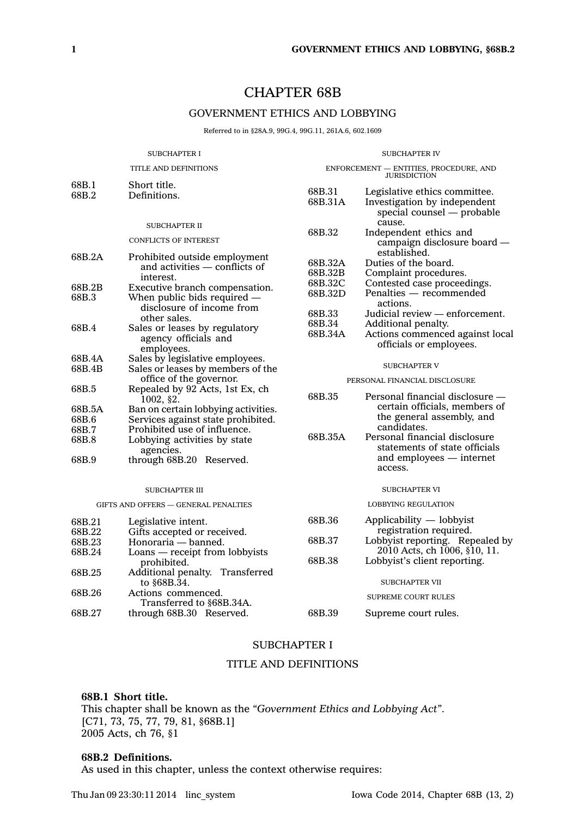# CHAPTER 68B

## GOVERNMENT ETHICS AND LOBBYING

Referred to in §28A.9, 99G.4, 99G.11, 261A.6, 602.1609

| <b>SUBCHAPTER I</b>                  |                                                                           | <b>SUBCHAPTER IV</b>                                          |                                                                                             |
|--------------------------------------|---------------------------------------------------------------------------|---------------------------------------------------------------|---------------------------------------------------------------------------------------------|
| TITLE AND DEFINITIONS                |                                                                           | ENFORCEMENT - ENTITIES, PROCEDURE, AND<br><b>JURISDICTION</b> |                                                                                             |
| 68B.1<br>68B.2                       | Short title.<br>Definitions.                                              | 68B.31<br>68B.31A                                             | Legislative ethics committee.<br>Investigation by independent<br>special counsel — probable |
|                                      | <b>SUBCHAPTER II</b>                                                      |                                                               | cause.                                                                                      |
|                                      | <b>CONFLICTS OF INTEREST</b>                                              | 68B.32                                                        | Independent ethics and<br>campaign disclosure board —<br>established.                       |
| 68B.2A                               | Prohibited outside employment<br>and activities $-$ conflicts of          | 68B.32A<br>68B.32B                                            | Duties of the board.<br>Complaint procedures.                                               |
| 68B.2B                               | interest.<br>Executive branch compensation.                               | 68B.32C                                                       | Contested case proceedings.                                                                 |
| 68B.3                                | When public bids required —<br>disclosure of income from                  | 68B.32D                                                       | Penalties - recommended<br>actions.                                                         |
|                                      | other sales.                                                              | 68B.33                                                        | Judicial review - enforcement.                                                              |
| 68B.4                                | Sales or leases by regulatory                                             | 68B.34                                                        | Additional penalty.                                                                         |
|                                      | agency officials and<br>employees.                                        | 68B.34A                                                       | Actions commenced against local<br>officials or employees.                                  |
| 68B.4A                               | Sales by legislative employees.                                           |                                                               |                                                                                             |
| 68B.4B                               | Sales or leases by members of the<br>office of the governor.              |                                                               | <b>SUBCHAPTER V</b>                                                                         |
| 68B.5                                | Repealed by 92 Acts, 1st Ex, ch                                           | PERSONAL FINANCIAL DISCLOSURE                                 |                                                                                             |
|                                      | 1002, §2.                                                                 | 68B.35                                                        | Personal financial disclosure -                                                             |
| 68B.5A<br>68B.6                      | Ban on certain lobbying activities.<br>Services against state prohibited. |                                                               | certain officials, members of<br>the general assembly, and                                  |
| 68B.7                                | Prohibited use of influence.                                              |                                                               | candidates.                                                                                 |
| 68B.8                                | Lobbying activities by state<br>agencies.                                 | 68B.35A                                                       | Personal financial disclosure<br>statements of state officials                              |
| 68B.9                                | through 68B.20 Reserved.                                                  |                                                               | and employees — internet<br>access.                                                         |
|                                      | <b>SUBCHAPTER III</b>                                                     |                                                               | <b>SUBCHAPTER VI</b>                                                                        |
| GIFTS AND OFFERS - GENERAL PENALTIES |                                                                           |                                                               | <b>LOBBYING REGULATION</b>                                                                  |
| 68B.21                               | Legislative intent.                                                       | 68B.36                                                        | Applicability — lobbyist                                                                    |
| 68B.22                               | Gifts accepted or received.                                               |                                                               | registration required.                                                                      |
| 68B.23                               | Honoraria - banned.                                                       | 68B.37                                                        | Lobbyist reporting. Repealed by                                                             |
| 68B.24                               | $\text{Loans}$ — receipt from lobbyists                                   |                                                               | 2010 Acts, ch 1006, §10, 11.                                                                |
|                                      | prohibited.                                                               | 68B.38                                                        | Lobbyist's client reporting.                                                                |
| 68B.25                               | Additional penalty. Transferred<br>to §68B.34.                            |                                                               | <b>SUBCHAPTER VII</b>                                                                       |
| 68B.26                               | Actions commenced.<br>Transferred to §68B.34A.                            |                                                               | <b>SUPREME COURT RULES</b>                                                                  |
| 68B.27                               | through 68B.30 Reserved.                                                  | 68B.39                                                        | Supreme court rules.                                                                        |

### SUBCHAPTER I

## TITLE AND DEFINITIONS

## **68B.1 Short title.**

This chapter shall be known as the *"Government Ethics and Lobbying Act"*. [C71, 73, 75, 77, 79, 81, §68B.1] 2005 Acts, ch 76, §1

### **68B.2 Definitions.**

As used in this chapter, unless the context otherwise requires: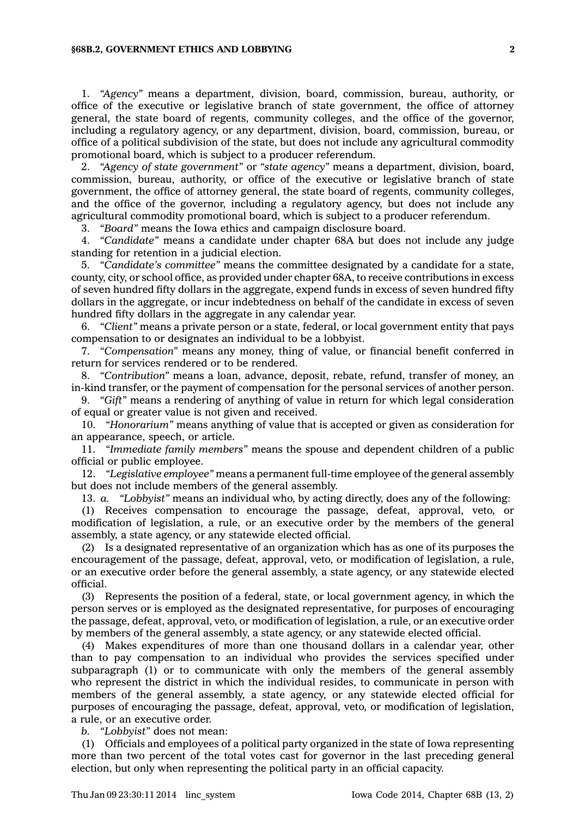#### **§68B.2, GOVERNMENT ETHICS AND LOBBYING 2**

1. *"Agency"* means <sup>a</sup> department, division, board, commission, bureau, authority, or office of the executive or legislative branch of state government, the office of attorney general, the state board of regents, community colleges, and the office of the governor, including <sup>a</sup> regulatory agency, or any department, division, board, commission, bureau, or office of <sup>a</sup> political subdivision of the state, but does not include any agricultural commodity promotional board, which is subject to <sup>a</sup> producer referendum.

2. *"Agency of state government"* or *"state agency"* means <sup>a</sup> department, division, board, commission, bureau, authority, or office of the executive or legislative branch of state government, the office of attorney general, the state board of regents, community colleges, and the office of the governor, including <sup>a</sup> regulatory agency, but does not include any agricultural commodity promotional board, which is subject to <sup>a</sup> producer referendum.

3. *"Board"* means the Iowa ethics and campaign disclosure board.

4. *"Candidate"* means <sup>a</sup> candidate under chapter 68A but does not include any judge standing for retention in <sup>a</sup> judicial election.

5. *"Candidate's committee"* means the committee designated by <sup>a</sup> candidate for <sup>a</sup> state, county, city, or school office, as provided under chapter 68A, to receive contributions in excess of seven hundred fifty dollars in the aggregate, expend funds in excess of seven hundred fifty dollars in the aggregate, or incur indebtedness on behalf of the candidate in excess of seven hundred fifty dollars in the aggregate in any calendar year.

6. *"Client"* means <sup>a</sup> private person or <sup>a</sup> state, federal, or local government entity that pays compensation to or designates an individual to be <sup>a</sup> lobbyist.

7. *"Compensation"* means any money, thing of value, or financial benefit conferred in return for services rendered or to be rendered.

8. *"Contribution"* means <sup>a</sup> loan, advance, deposit, rebate, refund, transfer of money, an in-kind transfer, or the payment of compensation for the personal services of another person.

9. *"Gift"* means <sup>a</sup> rendering of anything of value in return for which legal consideration of equal or greater value is not given and received.

10. *"Honorarium"* means anything of value that is accepted or given as consideration for an appearance, speech, or article.

11. *"Immediate family members"* means the spouse and dependent children of <sup>a</sup> public official or public employee.

12. *"Legislative employee"* means <sup>a</sup> permanent full-time employee of the general assembly but does not include members of the general assembly.

13. *a. "Lobbyist"* means an individual who, by acting directly, does any of the following:

(1) Receives compensation to encourage the passage, defeat, approval, veto, or modification of legislation, <sup>a</sup> rule, or an executive order by the members of the general assembly, <sup>a</sup> state agency, or any statewide elected official.

(2) Is <sup>a</sup> designated representative of an organization which has as one of its purposes the encouragement of the passage, defeat, approval, veto, or modification of legislation, <sup>a</sup> rule, or an executive order before the general assembly, <sup>a</sup> state agency, or any statewide elected official.

(3) Represents the position of <sup>a</sup> federal, state, or local government agency, in which the person serves or is employed as the designated representative, for purposes of encouraging the passage, defeat, approval, veto, or modification of legislation, <sup>a</sup> rule, or an executive order by members of the general assembly, <sup>a</sup> state agency, or any statewide elected official.

(4) Makes expenditures of more than one thousand dollars in <sup>a</sup> calendar year, other than to pay compensation to an individual who provides the services specified under subparagraph (1) or to communicate with only the members of the general assembly who represent the district in which the individual resides, to communicate in person with members of the general assembly, <sup>a</sup> state agency, or any statewide elected official for purposes of encouraging the passage, defeat, approval, veto, or modification of legislation, <sup>a</sup> rule, or an executive order.

*b. "Lobbyist"* does not mean:

(1) Officials and employees of <sup>a</sup> political party organized in the state of Iowa representing more than two percent of the total votes cast for governor in the last preceding general election, but only when representing the political party in an official capacity.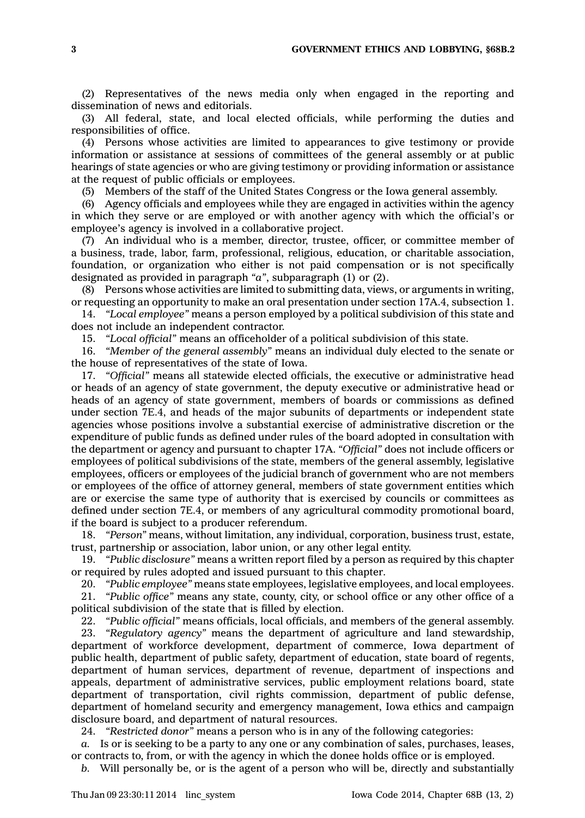(2) Representatives of the news media only when engaged in the reporting and dissemination of news and editorials.

(3) All federal, state, and local elected officials, while performing the duties and responsibilities of office.

(4) Persons whose activities are limited to appearances to give testimony or provide information or assistance at sessions of committees of the general assembly or at public hearings of state agencies or who are giving testimony or providing information or assistance at the request of public officials or employees.

(5) Members of the staff of the United States Congress or the Iowa general assembly.

(6) Agency officials and employees while they are engaged in activities within the agency in which they serve or are employed or with another agency with which the official's or employee's agency is involved in <sup>a</sup> collaborative project.

(7) An individual who is <sup>a</sup> member, director, trustee, officer, or committee member of <sup>a</sup> business, trade, labor, farm, professional, religious, education, or charitable association, foundation, or organization who either is not paid compensation or is not specifically designated as provided in paragraph *"a"*, subparagraph (1) or (2).

(8) Persons whose activities are limited to submitting data, views, or arguments in writing, or requesting an opportunity to make an oral presentation under section 17A.4, subsection 1.

14. *"Local employee"* means <sup>a</sup> person employed by <sup>a</sup> political subdivision of this state and does not include an independent contractor.

15. *"Local official"* means an officeholder of <sup>a</sup> political subdivision of this state.

16. *"Member of the general assembly"* means an individual duly elected to the senate or the house of representatives of the state of Iowa.

17. *"Official"* means all statewide elected officials, the executive or administrative head or heads of an agency of state government, the deputy executive or administrative head or heads of an agency of state government, members of boards or commissions as defined under section 7E.4, and heads of the major subunits of departments or independent state agencies whose positions involve <sup>a</sup> substantial exercise of administrative discretion or the expenditure of public funds as defined under rules of the board adopted in consultation with the department or agency and pursuant to chapter 17A. *"Official"* does not include officers or employees of political subdivisions of the state, members of the general assembly, legislative employees, officers or employees of the judicial branch of government who are not members or employees of the office of attorney general, members of state government entities which are or exercise the same type of authority that is exercised by councils or committees as defined under section 7E.4, or members of any agricultural commodity promotional board, if the board is subject to <sup>a</sup> producer referendum.

18. *"Person"* means, without limitation, any individual, corporation, business trust, estate, trust, partnership or association, labor union, or any other legal entity.

19. *"Public disclosure"* means <sup>a</sup> written report filed by <sup>a</sup> person as required by this chapter or required by rules adopted and issued pursuant to this chapter.

20. *"Public employee"* means state employees, legislative employees, and local employees. 21. *"Public office"* means any state, county, city, or school office or any other office of <sup>a</sup> political subdivision of the state that is filled by election.

22. *"Public official"* means officials, local officials, and members of the general assembly.

23. *"Regulatory agency"* means the department of agriculture and land stewardship, department of workforce development, department of commerce, Iowa department of public health, department of public safety, department of education, state board of regents, department of human services, department of revenue, department of inspections and appeals, department of administrative services, public employment relations board, state department of transportation, civil rights commission, department of public defense, department of homeland security and emergency management, Iowa ethics and campaign disclosure board, and department of natural resources.

24. *"Restricted donor"* means <sup>a</sup> person who is in any of the following categories:

*a.* Is or is seeking to be <sup>a</sup> party to any one or any combination of sales, purchases, leases, or contracts to, from, or with the agency in which the donee holds office or is employed.

*b.* Will personally be, or is the agent of <sup>a</sup> person who will be, directly and substantially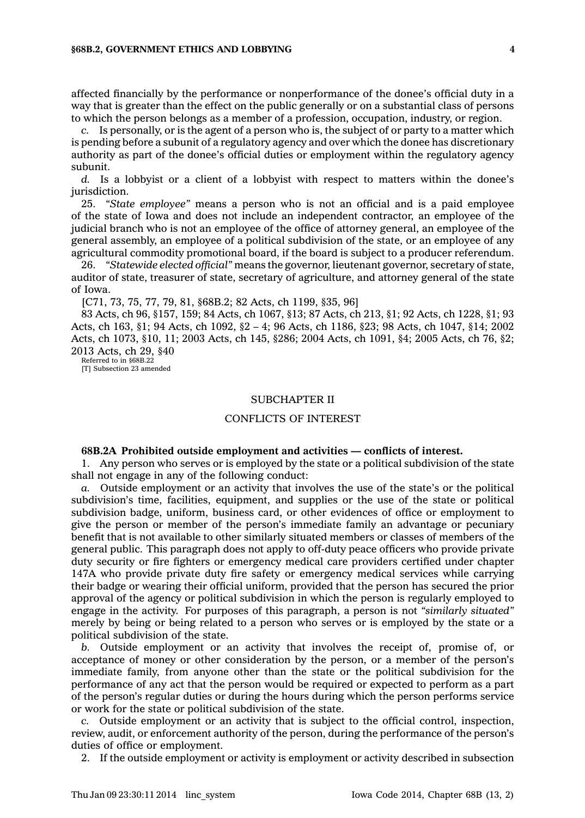affected financially by the performance or nonperformance of the donee's official duty in <sup>a</sup> way that is greater than the effect on the public generally or on <sup>a</sup> substantial class of persons to which the person belongs as <sup>a</sup> member of <sup>a</sup> profession, occupation, industry, or region.

*c.* Is personally, or is the agent of <sup>a</sup> person who is, the subject of or party to <sup>a</sup> matter which is pending before <sup>a</sup> subunit of <sup>a</sup> regulatory agency and over which the donee has discretionary authority as part of the donee's official duties or employment within the regulatory agency subunit.

*d.* Is <sup>a</sup> lobbyist or <sup>a</sup> client of <sup>a</sup> lobbyist with respect to matters within the donee's jurisdiction.

25. *"State employee"* means <sup>a</sup> person who is not an official and is <sup>a</sup> paid employee of the state of Iowa and does not include an independent contractor, an employee of the judicial branch who is not an employee of the office of attorney general, an employee of the general assembly, an employee of <sup>a</sup> political subdivision of the state, or an employee of any agricultural commodity promotional board, if the board is subject to <sup>a</sup> producer referendum.

26. *"Statewide elected official"* means the governor, lieutenant governor, secretary of state, auditor of state, treasurer of state, secretary of agriculture, and attorney general of the state of Iowa.

[C71, 73, 75, 77, 79, 81, §68B.2; 82 Acts, ch 1199, §35, 96]

83 Acts, ch 96, §157, 159; 84 Acts, ch 1067, §13; 87 Acts, ch 213, §1; 92 Acts, ch 1228, §1; 93 Acts, ch 163, §1; 94 Acts, ch 1092, §2 – 4; 96 Acts, ch 1186, §23; 98 Acts, ch 1047, §14; 2002 Acts, ch 1073, §10, 11; 2003 Acts, ch 145, §286; 2004 Acts, ch 1091, §4; 2005 Acts, ch 76, §2; 2013 Acts, ch 29, §40

Referred to in §68B.22 [T] Subsection 23 amended

#### SUBCHAPTER II

### CONFLICTS OF INTEREST

### **68B.2A Prohibited outside employment and activities — conflicts of interest.**

1. Any person who serves or is employed by the state or <sup>a</sup> political subdivision of the state shall not engage in any of the following conduct:

*a.* Outside employment or an activity that involves the use of the state's or the political subdivision's time, facilities, equipment, and supplies or the use of the state or political subdivision badge, uniform, business card, or other evidences of office or employment to give the person or member of the person's immediate family an advantage or pecuniary benefit that is not available to other similarly situated members or classes of members of the general public. This paragraph does not apply to off-duty peace officers who provide private duty security or fire fighters or emergency medical care providers certified under chapter 147A who provide private duty fire safety or emergency medical services while carrying their badge or wearing their official uniform, provided that the person has secured the prior approval of the agency or political subdivision in which the person is regularly employed to engage in the activity. For purposes of this paragraph, <sup>a</sup> person is not *"similarly situated"* merely by being or being related to <sup>a</sup> person who serves or is employed by the state or <sup>a</sup> political subdivision of the state.

*b.* Outside employment or an activity that involves the receipt of, promise of, or acceptance of money or other consideration by the person, or <sup>a</sup> member of the person's immediate family, from anyone other than the state or the political subdivision for the performance of any act that the person would be required or expected to perform as <sup>a</sup> part of the person's regular duties or during the hours during which the person performs service or work for the state or political subdivision of the state.

*c.* Outside employment or an activity that is subject to the official control, inspection, review, audit, or enforcement authority of the person, during the performance of the person's duties of office or employment.

2. If the outside employment or activity is employment or activity described in subsection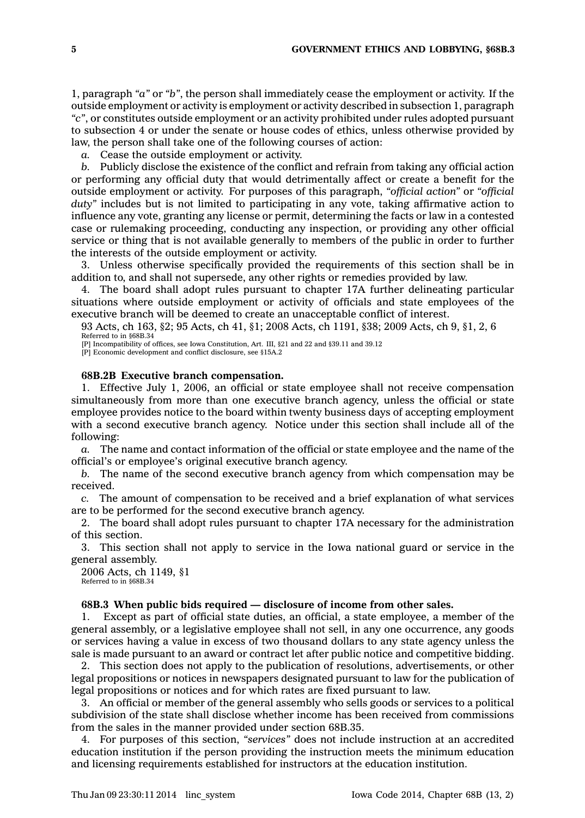1, paragraph *"a"* or *"b"*, the person shall immediately cease the employment or activity. If the outside employment or activity is employment or activity described in subsection 1, paragraph *"c"*, or constitutes outside employment or an activity prohibited under rules adopted pursuant to subsection 4 or under the senate or house codes of ethics, unless otherwise provided by law, the person shall take one of the following courses of action:

*a.* Cease the outside employment or activity.

*b.* Publicly disclose the existence of the conflict and refrain from taking any official action or performing any official duty that would detrimentally affect or create <sup>a</sup> benefit for the outside employment or activity. For purposes of this paragraph, *"official action"* or *"official duty"* includes but is not limited to participating in any vote, taking affirmative action to influence any vote, granting any license or permit, determining the facts or law in <sup>a</sup> contested case or rulemaking proceeding, conducting any inspection, or providing any other official service or thing that is not available generally to members of the public in order to further the interests of the outside employment or activity.

3. Unless otherwise specifically provided the requirements of this section shall be in addition to, and shall not supersede, any other rights or remedies provided by law.

4. The board shall adopt rules pursuant to chapter 17A further delineating particular situations where outside employment or activity of officials and state employees of the executive branch will be deemed to create an unacceptable conflict of interest.

93 Acts, ch 163, §2; 95 Acts, ch 41, §1; 2008 Acts, ch 1191, §38; 2009 Acts, ch 9, §1, 2, 6 Referred to in §68B.34 [P] Incompatibility of offices, see Iowa Constitution, Art. III, §21 and 22 and §39.11 and 39.12

[P] Economic development and conflict disclosure, see §15A.2

#### **68B.2B Executive branch compensation.**

1. Effective July 1, 2006, an official or state employee shall not receive compensation simultaneously from more than one executive branch agency, unless the official or state employee provides notice to the board within twenty business days of accepting employment with <sup>a</sup> second executive branch agency. Notice under this section shall include all of the following:

*a.* The name and contact information of the official or state employee and the name of the official's or employee's original executive branch agency.

*b.* The name of the second executive branch agency from which compensation may be received.

*c.* The amount of compensation to be received and <sup>a</sup> brief explanation of what services are to be performed for the second executive branch agency.

2. The board shall adopt rules pursuant to chapter 17A necessary for the administration of this section.

3. This section shall not apply to service in the Iowa national guard or service in the general assembly.

2006 Acts, ch 1149, §1 Referred to in §68B.34

#### **68B.3 When public bids required — disclosure of income from other sales.**

1. Except as part of official state duties, an official, <sup>a</sup> state employee, <sup>a</sup> member of the general assembly, or <sup>a</sup> legislative employee shall not sell, in any one occurrence, any goods or services having <sup>a</sup> value in excess of two thousand dollars to any state agency unless the sale is made pursuant to an award or contract let after public notice and competitive bidding.

2. This section does not apply to the publication of resolutions, advertisements, or other legal propositions or notices in newspapers designated pursuant to law for the publication of legal propositions or notices and for which rates are fixed pursuant to law.

3. An official or member of the general assembly who sells goods or services to <sup>a</sup> political subdivision of the state shall disclose whether income has been received from commissions from the sales in the manner provided under section 68B.35.

4. For purposes of this section, *"services"* does not include instruction at an accredited education institution if the person providing the instruction meets the minimum education and licensing requirements established for instructors at the education institution.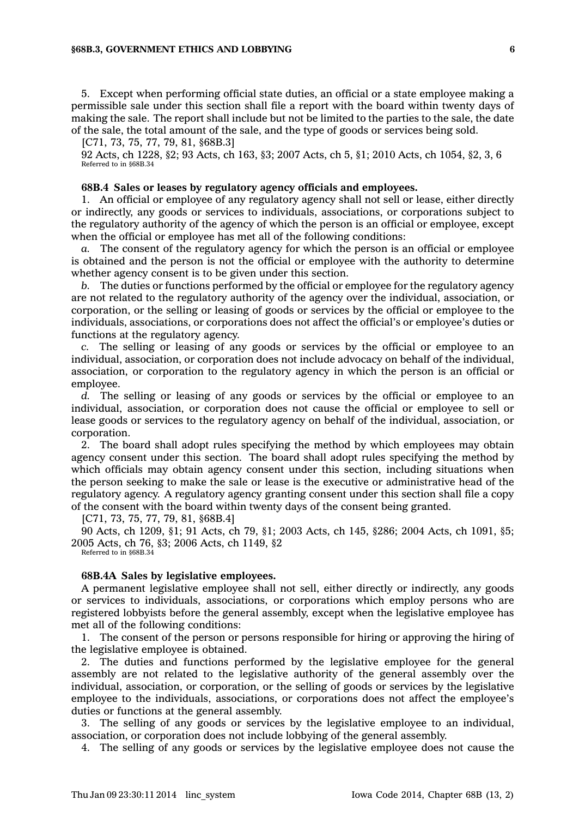#### **§68B.3, GOVERNMENT ETHICS AND LOBBYING 6**

5. Except when performing official state duties, an official or <sup>a</sup> state employee making <sup>a</sup> permissible sale under this section shall file <sup>a</sup> report with the board within twenty days of making the sale. The report shall include but not be limited to the parties to the sale, the date of the sale, the total amount of the sale, and the type of goods or services being sold.

[C71, 73, 75, 77, 79, 81, §68B.3]

92 Acts, ch 1228, §2; 93 Acts, ch 163, §3; 2007 Acts, ch 5, §1; 2010 Acts, ch 1054, §2, 3, 6 Referred to in §68B.34

#### **68B.4 Sales or leases by regulatory agency officials and employees.**

1. An official or employee of any regulatory agency shall not sell or lease, either directly or indirectly, any goods or services to individuals, associations, or corporations subject to the regulatory authority of the agency of which the person is an official or employee, except when the official or employee has met all of the following conditions:

*a.* The consent of the regulatory agency for which the person is an official or employee is obtained and the person is not the official or employee with the authority to determine whether agency consent is to be given under this section.

*b.* The duties or functions performed by the official or employee for the regulatory agency are not related to the regulatory authority of the agency over the individual, association, or corporation, or the selling or leasing of goods or services by the official or employee to the individuals, associations, or corporations does not affect the official's or employee's duties or functions at the regulatory agency.

The selling or leasing of any goods or services by the official or employee to an individual, association, or corporation does not include advocacy on behalf of the individual, association, or corporation to the regulatory agency in which the person is an official or employee.

*d.* The selling or leasing of any goods or services by the official or employee to an individual, association, or corporation does not cause the official or employee to sell or lease goods or services to the regulatory agency on behalf of the individual, association, or corporation.

2. The board shall adopt rules specifying the method by which employees may obtain agency consent under this section. The board shall adopt rules specifying the method by which officials may obtain agency consent under this section, including situations when the person seeking to make the sale or lease is the executive or administrative head of the regulatory agency. A regulatory agency granting consent under this section shall file <sup>a</sup> copy of the consent with the board within twenty days of the consent being granted.

[C71, 73, 75, 77, 79, 81, §68B.4]

90 Acts, ch 1209, §1; 91 Acts, ch 79, §1; 2003 Acts, ch 145, §286; 2004 Acts, ch 1091, §5; 2005 Acts, ch 76, §3; 2006 Acts, ch 1149, §2

Referred to in §68B.34

#### **68B.4A Sales by legislative employees.**

A permanent legislative employee shall not sell, either directly or indirectly, any goods or services to individuals, associations, or corporations which employ persons who are registered lobbyists before the general assembly, except when the legislative employee has met all of the following conditions:

1. The consent of the person or persons responsible for hiring or approving the hiring of the legislative employee is obtained.

2. The duties and functions performed by the legislative employee for the general assembly are not related to the legislative authority of the general assembly over the individual, association, or corporation, or the selling of goods or services by the legislative employee to the individuals, associations, or corporations does not affect the employee's duties or functions at the general assembly.

3. The selling of any goods or services by the legislative employee to an individual, association, or corporation does not include lobbying of the general assembly.

4. The selling of any goods or services by the legislative employee does not cause the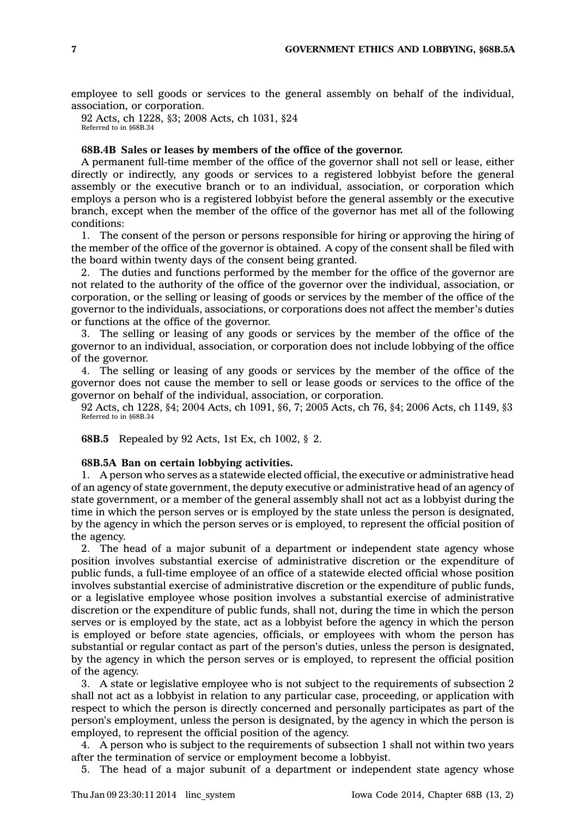employee to sell goods or services to the general assembly on behalf of the individual, association, or corporation.

92 Acts, ch 1228, §3; 2008 Acts, ch 1031, §24 Referred to in §68B.34

### **68B.4B Sales or leases by members of the office of the governor.**

A permanent full-time member of the office of the governor shall not sell or lease, either directly or indirectly, any goods or services to <sup>a</sup> registered lobbyist before the general assembly or the executive branch or to an individual, association, or corporation which employs <sup>a</sup> person who is <sup>a</sup> registered lobbyist before the general assembly or the executive branch, except when the member of the office of the governor has met all of the following conditions:

1. The consent of the person or persons responsible for hiring or approving the hiring of the member of the office of the governor is obtained. A copy of the consent shall be filed with the board within twenty days of the consent being granted.

2. The duties and functions performed by the member for the office of the governor are not related to the authority of the office of the governor over the individual, association, or corporation, or the selling or leasing of goods or services by the member of the office of the governor to the individuals, associations, or corporations does not affect the member's duties or functions at the office of the governor.

3. The selling or leasing of any goods or services by the member of the office of the governor to an individual, association, or corporation does not include lobbying of the office of the governor.

4. The selling or leasing of any goods or services by the member of the office of the governor does not cause the member to sell or lease goods or services to the office of the governor on behalf of the individual, association, or corporation.

92 Acts, ch 1228, §4; 2004 Acts, ch 1091, §6, 7; 2005 Acts, ch 76, §4; 2006 Acts, ch 1149, §3 Referred to in §68B.34

**68B.5** Repealed by 92 Acts, 1st Ex, ch 1002, § 2.

### **68B.5A Ban on certain lobbying activities.**

1. A person who serves as <sup>a</sup> statewide elected official, the executive or administrative head of an agency of state government, the deputy executive or administrative head of an agency of state government, or <sup>a</sup> member of the general assembly shall not act as <sup>a</sup> lobbyist during the time in which the person serves or is employed by the state unless the person is designated, by the agency in which the person serves or is employed, to represent the official position of the agency.

2. The head of <sup>a</sup> major subunit of <sup>a</sup> department or independent state agency whose position involves substantial exercise of administrative discretion or the expenditure of public funds, <sup>a</sup> full-time employee of an office of <sup>a</sup> statewide elected official whose position involves substantial exercise of administrative discretion or the expenditure of public funds, or <sup>a</sup> legislative employee whose position involves <sup>a</sup> substantial exercise of administrative discretion or the expenditure of public funds, shall not, during the time in which the person serves or is employed by the state, act as <sup>a</sup> lobbyist before the agency in which the person is employed or before state agencies, officials, or employees with whom the person has substantial or regular contact as part of the person's duties, unless the person is designated, by the agency in which the person serves or is employed, to represent the official position of the agency.

3. A state or legislative employee who is not subject to the requirements of subsection 2 shall not act as <sup>a</sup> lobbyist in relation to any particular case, proceeding, or application with respect to which the person is directly concerned and personally participates as part of the person's employment, unless the person is designated, by the agency in which the person is employed, to represent the official position of the agency.

4. A person who is subject to the requirements of subsection 1 shall not within two years after the termination of service or employment become <sup>a</sup> lobbyist.

5. The head of <sup>a</sup> major subunit of <sup>a</sup> department or independent state agency whose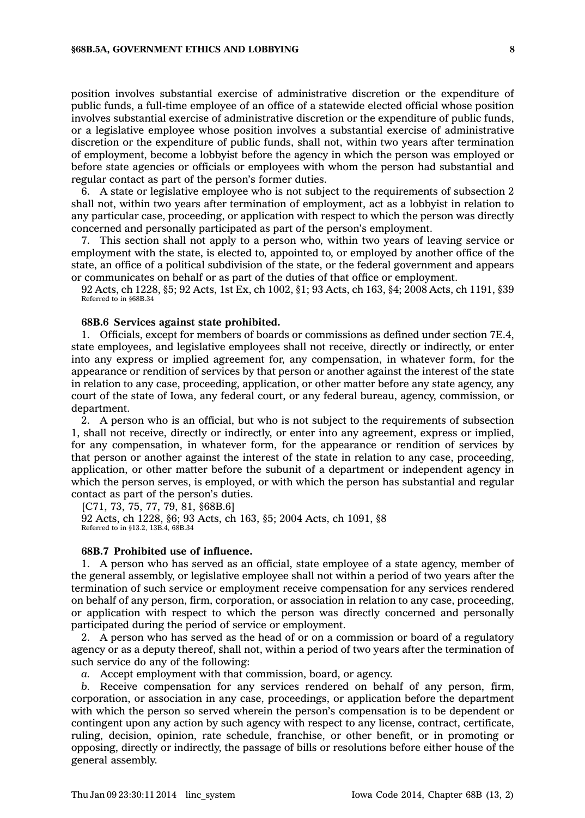#### **§68B.5A, GOVERNMENT ETHICS AND LOBBYING 8**

position involves substantial exercise of administrative discretion or the expenditure of public funds, <sup>a</sup> full-time employee of an office of <sup>a</sup> statewide elected official whose position involves substantial exercise of administrative discretion or the expenditure of public funds, or <sup>a</sup> legislative employee whose position involves <sup>a</sup> substantial exercise of administrative discretion or the expenditure of public funds, shall not, within two years after termination of employment, become <sup>a</sup> lobbyist before the agency in which the person was employed or before state agencies or officials or employees with whom the person had substantial and regular contact as part of the person's former duties.

6. A state or legislative employee who is not subject to the requirements of subsection 2 shall not, within two years after termination of employment, act as <sup>a</sup> lobbyist in relation to any particular case, proceeding, or application with respect to which the person was directly concerned and personally participated as part of the person's employment.

7. This section shall not apply to <sup>a</sup> person who, within two years of leaving service or employment with the state, is elected to, appointed to, or employed by another office of the state, an office of <sup>a</sup> political subdivision of the state, or the federal government and appears or communicates on behalf or as part of the duties of that office or employment.

92 Acts, ch 1228, §5; 92 Acts, 1st Ex, ch 1002, §1; 93 Acts, ch 163, §4; 2008 Acts, ch 1191, §39 Referred to in §68B.34

## **68B.6 Services against state prohibited.**

1. Officials, except for members of boards or commissions as defined under section 7E.4, state employees, and legislative employees shall not receive, directly or indirectly, or enter into any express or implied agreement for, any compensation, in whatever form, for the appearance or rendition of services by that person or another against the interest of the state in relation to any case, proceeding, application, or other matter before any state agency, any court of the state of Iowa, any federal court, or any federal bureau, agency, commission, or department.

2. A person who is an official, but who is not subject to the requirements of subsection 1, shall not receive, directly or indirectly, or enter into any agreement, express or implied, for any compensation, in whatever form, for the appearance or rendition of services by that person or another against the interest of the state in relation to any case, proceeding, application, or other matter before the subunit of <sup>a</sup> department or independent agency in which the person serves, is employed, or with which the person has substantial and regular contact as part of the person's duties.

[C71, 73, 75, 77, 79, 81, §68B.6] 92 Acts, ch 1228, §6; 93 Acts, ch 163, §5; 2004 Acts, ch 1091, §8 Referred to in §13.2, 13B.4, 68B.34

### **68B.7 Prohibited use of influence.**

1. A person who has served as an official, state employee of <sup>a</sup> state agency, member of the general assembly, or legislative employee shall not within <sup>a</sup> period of two years after the termination of such service or employment receive compensation for any services rendered on behalf of any person, firm, corporation, or association in relation to any case, proceeding, or application with respect to which the person was directly concerned and personally participated during the period of service or employment.

2. A person who has served as the head of or on <sup>a</sup> commission or board of <sup>a</sup> regulatory agency or as <sup>a</sup> deputy thereof, shall not, within <sup>a</sup> period of two years after the termination of such service do any of the following:

*a.* Accept employment with that commission, board, or agency.

*b.* Receive compensation for any services rendered on behalf of any person, firm, corporation, or association in any case, proceedings, or application before the department with which the person so served wherein the person's compensation is to be dependent or contingent upon any action by such agency with respect to any license, contract, certificate, ruling, decision, opinion, rate schedule, franchise, or other benefit, or in promoting or opposing, directly or indirectly, the passage of bills or resolutions before either house of the general assembly.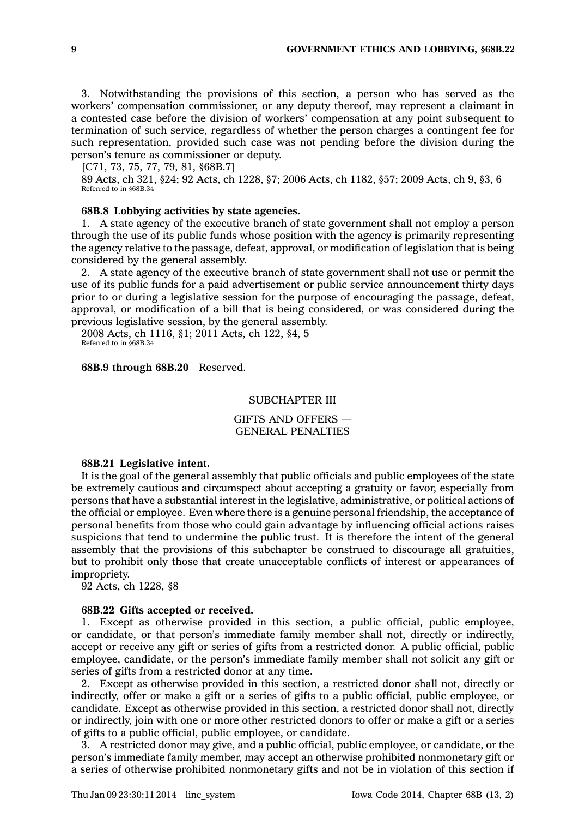3. Notwithstanding the provisions of this section, <sup>a</sup> person who has served as the workers' compensation commissioner, or any deputy thereof, may represent <sup>a</sup> claimant in <sup>a</sup> contested case before the division of workers' compensation at any point subsequent to termination of such service, regardless of whether the person charges <sup>a</sup> contingent fee for such representation, provided such case was not pending before the division during the person's tenure as commissioner or deputy.

[C71, 73, 75, 77, 79, 81, §68B.7]

89 Acts, ch 321, §24; 92 Acts, ch 1228, §7; 2006 Acts, ch 1182, §57; 2009 Acts, ch 9, §3, 6 Referred to in §68B.34

## **68B.8 Lobbying activities by state agencies.**

1. A state agency of the executive branch of state government shall not employ <sup>a</sup> person through the use of its public funds whose position with the agency is primarily representing the agency relative to the passage, defeat, approval, or modification of legislation that is being considered by the general assembly.

2. A state agency of the executive branch of state government shall not use or permit the use of its public funds for <sup>a</sup> paid advertisement or public service announcement thirty days prior to or during <sup>a</sup> legislative session for the purpose of encouraging the passage, defeat, approval, or modification of <sup>a</sup> bill that is being considered, or was considered during the previous legislative session, by the general assembly.

2008 Acts, ch 1116, §1; 2011 Acts, ch 122, §4, 5 Referred to in §68B.34

**68B.9 through 68B.20** Reserved.

### SUBCHAPTER III

GIFTS AND OFFERS — GENERAL PENALTIES

### **68B.21 Legislative intent.**

It is the goal of the general assembly that public officials and public employees of the state be extremely cautious and circumspect about accepting <sup>a</sup> gratuity or favor, especially from persons that have <sup>a</sup> substantial interest in the legislative, administrative, or political actions of the official or employee. Even where there is <sup>a</sup> genuine personal friendship, the acceptance of personal benefits from those who could gain advantage by influencing official actions raises suspicions that tend to undermine the public trust. It is therefore the intent of the general assembly that the provisions of this subchapter be construed to discourage all gratuities, but to prohibit only those that create unacceptable conflicts of interest or appearances of impropriety.

92 Acts, ch 1228, §8

### **68B.22 Gifts accepted or received.**

1. Except as otherwise provided in this section, <sup>a</sup> public official, public employee, or candidate, or that person's immediate family member shall not, directly or indirectly, accept or receive any gift or series of gifts from <sup>a</sup> restricted donor. A public official, public employee, candidate, or the person's immediate family member shall not solicit any gift or series of gifts from <sup>a</sup> restricted donor at any time.

2. Except as otherwise provided in this section, <sup>a</sup> restricted donor shall not, directly or indirectly, offer or make <sup>a</sup> gift or <sup>a</sup> series of gifts to <sup>a</sup> public official, public employee, or candidate. Except as otherwise provided in this section, <sup>a</sup> restricted donor shall not, directly or indirectly, join with one or more other restricted donors to offer or make <sup>a</sup> gift or <sup>a</sup> series of gifts to <sup>a</sup> public official, public employee, or candidate.

3. A restricted donor may give, and <sup>a</sup> public official, public employee, or candidate, or the person's immediate family member, may accept an otherwise prohibited nonmonetary gift or <sup>a</sup> series of otherwise prohibited nonmonetary gifts and not be in violation of this section if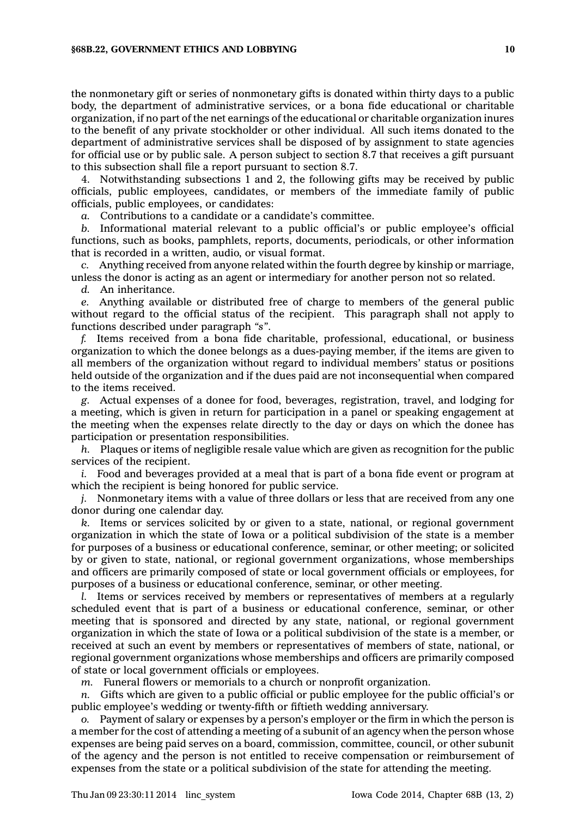the nonmonetary gift or series of nonmonetary gifts is donated within thirty days to <sup>a</sup> public body, the department of administrative services, or <sup>a</sup> bona fide educational or charitable organization, if no part of the net earnings of the educational or charitable organization inures to the benefit of any private stockholder or other individual. All such items donated to the department of administrative services shall be disposed of by assignment to state agencies for official use or by public sale. A person subject to section 8.7 that receives <sup>a</sup> gift pursuant to this subsection shall file <sup>a</sup> report pursuant to section 8.7.

4. Notwithstanding subsections 1 and 2, the following gifts may be received by public officials, public employees, candidates, or members of the immediate family of public officials, public employees, or candidates:

*a.* Contributions to <sup>a</sup> candidate or <sup>a</sup> candidate's committee.

*b.* Informational material relevant to <sup>a</sup> public official's or public employee's official functions, such as books, pamphlets, reports, documents, periodicals, or other information that is recorded in <sup>a</sup> written, audio, or visual format.

*c.* Anything received from anyone related within the fourth degree by kinship or marriage, unless the donor is acting as an agent or intermediary for another person not so related.

*d.* An inheritance.

*e.* Anything available or distributed free of charge to members of the general public without regard to the official status of the recipient. This paragraph shall not apply to functions described under paragraph *"s"*.

*f.* Items received from <sup>a</sup> bona fide charitable, professional, educational, or business organization to which the donee belongs as <sup>a</sup> dues-paying member, if the items are given to all members of the organization without regard to individual members' status or positions held outside of the organization and if the dues paid are not inconsequential when compared to the items received.

*g.* Actual expenses of <sup>a</sup> donee for food, beverages, registration, travel, and lodging for <sup>a</sup> meeting, which is given in return for participation in <sup>a</sup> panel or speaking engagement at the meeting when the expenses relate directly to the day or days on which the donee has participation or presentation responsibilities.

*h.* Plaques or items of negligible resale value which are given as recognition for the public services of the recipient.

*i.* Food and beverages provided at <sup>a</sup> meal that is part of <sup>a</sup> bona fide event or program at which the recipient is being honored for public service.

*j.* Nonmonetary items with <sup>a</sup> value of three dollars or less that are received from any one donor during one calendar day.

*k.* Items or services solicited by or given to <sup>a</sup> state, national, or regional government organization in which the state of Iowa or <sup>a</sup> political subdivision of the state is <sup>a</sup> member for purposes of <sup>a</sup> business or educational conference, seminar, or other meeting; or solicited by or given to state, national, or regional government organizations, whose memberships and officers are primarily composed of state or local government officials or employees, for purposes of <sup>a</sup> business or educational conference, seminar, or other meeting.

*l.* Items or services received by members or representatives of members at <sup>a</sup> regularly scheduled event that is part of <sup>a</sup> business or educational conference, seminar, or other meeting that is sponsored and directed by any state, national, or regional government organization in which the state of Iowa or <sup>a</sup> political subdivision of the state is <sup>a</sup> member, or received at such an event by members or representatives of members of state, national, or regional government organizations whose memberships and officers are primarily composed of state or local government officials or employees.

*m.* Funeral flowers or memorials to <sup>a</sup> church or nonprofit organization.

*n.* Gifts which are given to <sup>a</sup> public official or public employee for the public official's or public employee's wedding or twenty-fifth or fiftieth wedding anniversary.

*o.* Payment of salary or expenses by <sup>a</sup> person's employer or the firm in which the person is <sup>a</sup> member for the cost of attending <sup>a</sup> meeting of <sup>a</sup> subunit of an agency when the person whose expenses are being paid serves on <sup>a</sup> board, commission, committee, council, or other subunit of the agency and the person is not entitled to receive compensation or reimbursement of expenses from the state or <sup>a</sup> political subdivision of the state for attending the meeting.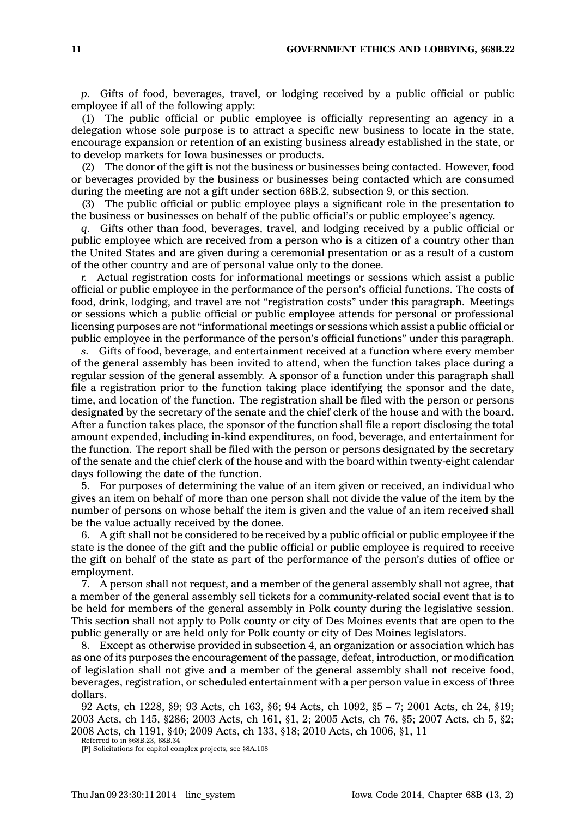*p.* Gifts of food, beverages, travel, or lodging received by <sup>a</sup> public official or public employee if all of the following apply:

(1) The public official or public employee is officially representing an agency in <sup>a</sup> delegation whose sole purpose is to attract <sup>a</sup> specific new business to locate in the state, encourage expansion or retention of an existing business already established in the state, or to develop markets for Iowa businesses or products.

(2) The donor of the gift is not the business or businesses being contacted. However, food or beverages provided by the business or businesses being contacted which are consumed during the meeting are not <sup>a</sup> gift under section 68B.2, subsection 9, or this section.

(3) The public official or public employee plays <sup>a</sup> significant role in the presentation to the business or businesses on behalf of the public official's or public employee's agency.

*q.* Gifts other than food, beverages, travel, and lodging received by <sup>a</sup> public official or public employee which are received from <sup>a</sup> person who is <sup>a</sup> citizen of <sup>a</sup> country other than the United States and are given during <sup>a</sup> ceremonial presentation or as <sup>a</sup> result of <sup>a</sup> custom of the other country and are of personal value only to the donee.

*r.* Actual registration costs for informational meetings or sessions which assist <sup>a</sup> public official or public employee in the performance of the person's official functions. The costs of food, drink, lodging, and travel are not "registration costs" under this paragraph. Meetings or sessions which <sup>a</sup> public official or public employee attends for personal or professional licensing purposes are not "informational meetings or sessions which assist <sup>a</sup> public official or public employee in the performance of the person's official functions" under this paragraph.

*s.* Gifts of food, beverage, and entertainment received at <sup>a</sup> function where every member of the general assembly has been invited to attend, when the function takes place during <sup>a</sup> regular session of the general assembly. A sponsor of <sup>a</sup> function under this paragraph shall file <sup>a</sup> registration prior to the function taking place identifying the sponsor and the date, time, and location of the function. The registration shall be filed with the person or persons designated by the secretary of the senate and the chief clerk of the house and with the board. After <sup>a</sup> function takes place, the sponsor of the function shall file <sup>a</sup> report disclosing the total amount expended, including in-kind expenditures, on food, beverage, and entertainment for the function. The report shall be filed with the person or persons designated by the secretary of the senate and the chief clerk of the house and with the board within twenty-eight calendar days following the date of the function.

5. For purposes of determining the value of an item given or received, an individual who gives an item on behalf of more than one person shall not divide the value of the item by the number of persons on whose behalf the item is given and the value of an item received shall be the value actually received by the donee.

6. A gift shall not be considered to be received by <sup>a</sup> public official or public employee if the state is the donee of the gift and the public official or public employee is required to receive the gift on behalf of the state as part of the performance of the person's duties of office or employment.

7. A person shall not request, and <sup>a</sup> member of the general assembly shall not agree, that <sup>a</sup> member of the general assembly sell tickets for <sup>a</sup> community-related social event that is to be held for members of the general assembly in Polk county during the legislative session. This section shall not apply to Polk county or city of Des Moines events that are open to the public generally or are held only for Polk county or city of Des Moines legislators.

8. Except as otherwise provided in subsection 4, an organization or association which has as one of its purposes the encouragement of the passage, defeat, introduction, or modification of legislation shall not give and <sup>a</sup> member of the general assembly shall not receive food, beverages, registration, or scheduled entertainment with <sup>a</sup> per person value in excess of three dollars.

92 Acts, ch 1228, §9; 93 Acts, ch 163, §6; 94 Acts, ch 1092, §5 – 7; 2001 Acts, ch 24, §19; 2003 Acts, ch 145, §286; 2003 Acts, ch 161, §1, 2; 2005 Acts, ch 76, §5; 2007 Acts, ch 5, §2; 2008 Acts, ch 1191, §40; 2009 Acts, ch 133, §18; 2010 Acts, ch 1006, §1, 11

Referred to in §68B.23, 68B.34

[P] Solicitations for capitol complex projects, see §8A.108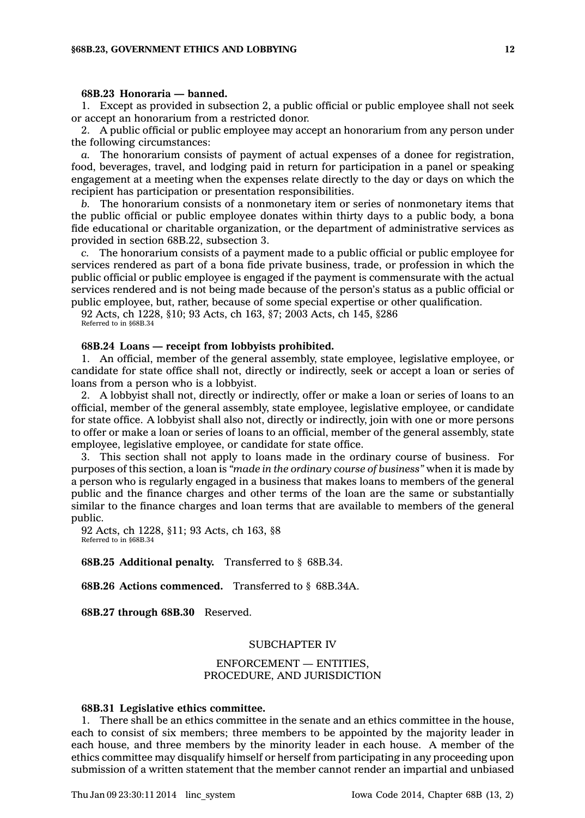#### **68B.23 Honoraria — banned.**

1. Except as provided in subsection 2, <sup>a</sup> public official or public employee shall not seek or accept an honorarium from <sup>a</sup> restricted donor.

2. A public official or public employee may accept an honorarium from any person under the following circumstances:

*a.* The honorarium consists of payment of actual expenses of <sup>a</sup> donee for registration, food, beverages, travel, and lodging paid in return for participation in <sup>a</sup> panel or speaking engagement at <sup>a</sup> meeting when the expenses relate directly to the day or days on which the recipient has participation or presentation responsibilities.

*b.* The honorarium consists of <sup>a</sup> nonmonetary item or series of nonmonetary items that the public official or public employee donates within thirty days to <sup>a</sup> public body, <sup>a</sup> bona fide educational or charitable organization, or the department of administrative services as provided in section 68B.22, subsection 3.

*c.* The honorarium consists of <sup>a</sup> payment made to <sup>a</sup> public official or public employee for services rendered as part of <sup>a</sup> bona fide private business, trade, or profession in which the public official or public employee is engaged if the payment is commensurate with the actual services rendered and is not being made because of the person's status as <sup>a</sup> public official or public employee, but, rather, because of some special expertise or other qualification.

92 Acts, ch 1228, §10; 93 Acts, ch 163, §7; 2003 Acts, ch 145, §286 Referred to in §68B.34

#### **68B.24 Loans — receipt from lobbyists prohibited.**

1. An official, member of the general assembly, state employee, legislative employee, or candidate for state office shall not, directly or indirectly, seek or accept <sup>a</sup> loan or series of loans from <sup>a</sup> person who is <sup>a</sup> lobbyist.

2. A lobbyist shall not, directly or indirectly, offer or make <sup>a</sup> loan or series of loans to an official, member of the general assembly, state employee, legislative employee, or candidate for state office. A lobbyist shall also not, directly or indirectly, join with one or more persons to offer or make <sup>a</sup> loan or series of loans to an official, member of the general assembly, state employee, legislative employee, or candidate for state office.

3. This section shall not apply to loans made in the ordinary course of business. For purposes of this section, <sup>a</sup> loan is *"made in the ordinary course of business"* when it is made by <sup>a</sup> person who is regularly engaged in <sup>a</sup> business that makes loans to members of the general public and the finance charges and other terms of the loan are the same or substantially similar to the finance charges and loan terms that are available to members of the general public.

92 Acts, ch 1228, §11; 93 Acts, ch 163, §8 Referred to in §68B.34

**68B.25 Additional penalty.** Transferred to § 68B.34.

**68B.26 Actions commenced.** Transferred to § 68B.34A.

**68B.27 through 68B.30** Reserved.

### SUBCHAPTER IV

### ENFORCEMENT — ENTITIES, PROCEDURE, AND JURISDICTION

### **68B.31 Legislative ethics committee.**

1. There shall be an ethics committee in the senate and an ethics committee in the house, each to consist of six members; three members to be appointed by the majority leader in each house, and three members by the minority leader in each house. A member of the ethics committee may disqualify himself or herself from participating in any proceeding upon submission of <sup>a</sup> written statement that the member cannot render an impartial and unbiased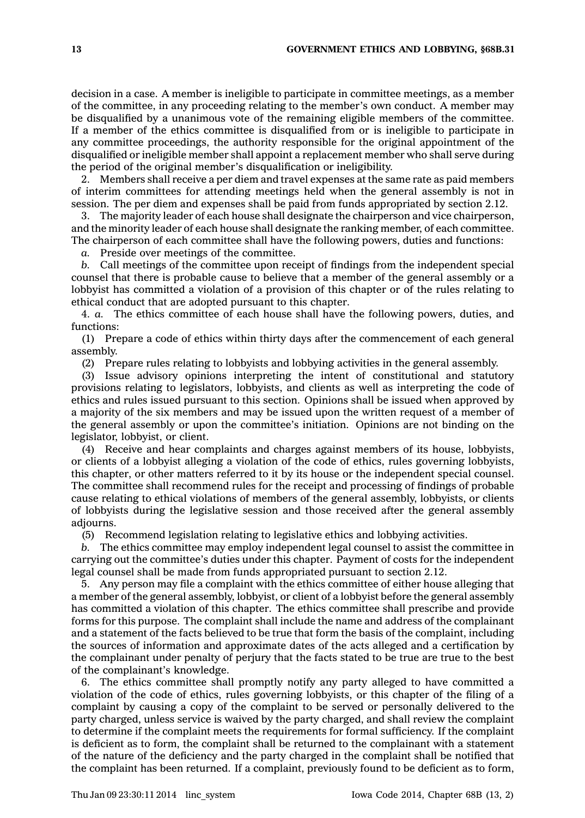decision in <sup>a</sup> case. A member is ineligible to participate in committee meetings, as <sup>a</sup> member of the committee, in any proceeding relating to the member's own conduct. A member may be disqualified by <sup>a</sup> unanimous vote of the remaining eligible members of the committee. If <sup>a</sup> member of the ethics committee is disqualified from or is ineligible to participate in any committee proceedings, the authority responsible for the original appointment of the disqualified or ineligible member shall appoint <sup>a</sup> replacement member who shall serve during the period of the original member's disqualification or ineligibility.

2. Members shall receive <sup>a</sup> per diem and travel expenses at the same rate as paid members of interim committees for attending meetings held when the general assembly is not in session. The per diem and expenses shall be paid from funds appropriated by section 2.12.

3. The majority leader of each house shall designate the chairperson and vice chairperson, and the minority leader of each house shall designate the ranking member, of each committee. The chairperson of each committee shall have the following powers, duties and functions:

*a.* Preside over meetings of the committee.

*b.* Call meetings of the committee upon receipt of findings from the independent special counsel that there is probable cause to believe that <sup>a</sup> member of the general assembly or <sup>a</sup> lobbyist has committed <sup>a</sup> violation of <sup>a</sup> provision of this chapter or of the rules relating to ethical conduct that are adopted pursuant to this chapter.

4. *a.* The ethics committee of each house shall have the following powers, duties, and functions:

(1) Prepare <sup>a</sup> code of ethics within thirty days after the commencement of each general assembly.

(2) Prepare rules relating to lobbyists and lobbying activities in the general assembly.

(3) Issue advisory opinions interpreting the intent of constitutional and statutory provisions relating to legislators, lobbyists, and clients as well as interpreting the code of ethics and rules issued pursuant to this section. Opinions shall be issued when approved by <sup>a</sup> majority of the six members and may be issued upon the written request of <sup>a</sup> member of the general assembly or upon the committee's initiation. Opinions are not binding on the legislator, lobbyist, or client.

(4) Receive and hear complaints and charges against members of its house, lobbyists, or clients of <sup>a</sup> lobbyist alleging <sup>a</sup> violation of the code of ethics, rules governing lobbyists, this chapter, or other matters referred to it by its house or the independent special counsel. The committee shall recommend rules for the receipt and processing of findings of probable cause relating to ethical violations of members of the general assembly, lobbyists, or clients of lobbyists during the legislative session and those received after the general assembly adjourns.

(5) Recommend legislation relating to legislative ethics and lobbying activities.

*b.* The ethics committee may employ independent legal counsel to assist the committee in carrying out the committee's duties under this chapter. Payment of costs for the independent legal counsel shall be made from funds appropriated pursuant to section 2.12.

5. Any person may file <sup>a</sup> complaint with the ethics committee of either house alleging that <sup>a</sup> member of the general assembly, lobbyist, or client of <sup>a</sup> lobbyist before the general assembly has committed <sup>a</sup> violation of this chapter. The ethics committee shall prescribe and provide forms for this purpose. The complaint shall include the name and address of the complainant and <sup>a</sup> statement of the facts believed to be true that form the basis of the complaint, including the sources of information and approximate dates of the acts alleged and <sup>a</sup> certification by the complainant under penalty of perjury that the facts stated to be true are true to the best of the complainant's knowledge.

6. The ethics committee shall promptly notify any party alleged to have committed <sup>a</sup> violation of the code of ethics, rules governing lobbyists, or this chapter of the filing of <sup>a</sup> complaint by causing <sup>a</sup> copy of the complaint to be served or personally delivered to the party charged, unless service is waived by the party charged, and shall review the complaint to determine if the complaint meets the requirements for formal sufficiency. If the complaint is deficient as to form, the complaint shall be returned to the complainant with <sup>a</sup> statement of the nature of the deficiency and the party charged in the complaint shall be notified that the complaint has been returned. If <sup>a</sup> complaint, previously found to be deficient as to form,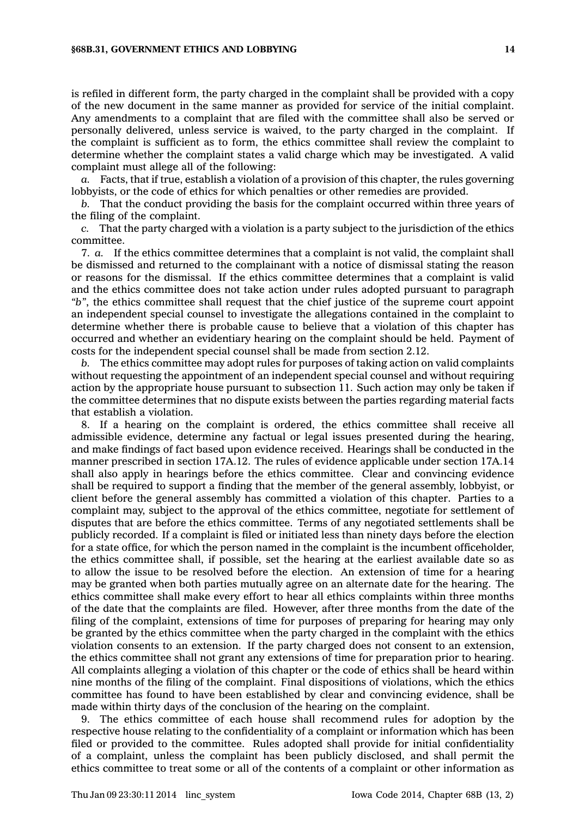is refiled in different form, the party charged in the complaint shall be provided with <sup>a</sup> copy of the new document in the same manner as provided for service of the initial complaint. Any amendments to <sup>a</sup> complaint that are filed with the committee shall also be served or personally delivered, unless service is waived, to the party charged in the complaint. If the complaint is sufficient as to form, the ethics committee shall review the complaint to determine whether the complaint states <sup>a</sup> valid charge which may be investigated. A valid complaint must allege all of the following:

*a.* Facts, that if true, establish <sup>a</sup> violation of <sup>a</sup> provision of this chapter, the rules governing lobbyists, or the code of ethics for which penalties or other remedies are provided.

*b.* That the conduct providing the basis for the complaint occurred within three years of the filing of the complaint.

*c.* That the party charged with <sup>a</sup> violation is <sup>a</sup> party subject to the jurisdiction of the ethics committee.

7. *a.* If the ethics committee determines that <sup>a</sup> complaint is not valid, the complaint shall be dismissed and returned to the complainant with <sup>a</sup> notice of dismissal stating the reason or reasons for the dismissal. If the ethics committee determines that <sup>a</sup> complaint is valid and the ethics committee does not take action under rules adopted pursuant to paragraph *"b"*, the ethics committee shall request that the chief justice of the supreme court appoint an independent special counsel to investigate the allegations contained in the complaint to determine whether there is probable cause to believe that <sup>a</sup> violation of this chapter has occurred and whether an evidentiary hearing on the complaint should be held. Payment of costs for the independent special counsel shall be made from section 2.12.

*b.* The ethics committee may adopt rules for purposes of taking action on valid complaints without requesting the appointment of an independent special counsel and without requiring action by the appropriate house pursuant to subsection 11. Such action may only be taken if the committee determines that no dispute exists between the parties regarding material facts that establish <sup>a</sup> violation.

8. If <sup>a</sup> hearing on the complaint is ordered, the ethics committee shall receive all admissible evidence, determine any factual or legal issues presented during the hearing, and make findings of fact based upon evidence received. Hearings shall be conducted in the manner prescribed in section 17A.12. The rules of evidence applicable under section 17A.14 shall also apply in hearings before the ethics committee. Clear and convincing evidence shall be required to support <sup>a</sup> finding that the member of the general assembly, lobbyist, or client before the general assembly has committed <sup>a</sup> violation of this chapter. Parties to <sup>a</sup> complaint may, subject to the approval of the ethics committee, negotiate for settlement of disputes that are before the ethics committee. Terms of any negotiated settlements shall be publicly recorded. If <sup>a</sup> complaint is filed or initiated less than ninety days before the election for <sup>a</sup> state office, for which the person named in the complaint is the incumbent officeholder, the ethics committee shall, if possible, set the hearing at the earliest available date so as to allow the issue to be resolved before the election. An extension of time for <sup>a</sup> hearing may be granted when both parties mutually agree on an alternate date for the hearing. The ethics committee shall make every effort to hear all ethics complaints within three months of the date that the complaints are filed. However, after three months from the date of the filing of the complaint, extensions of time for purposes of preparing for hearing may only be granted by the ethics committee when the party charged in the complaint with the ethics violation consents to an extension. If the party charged does not consent to an extension, the ethics committee shall not grant any extensions of time for preparation prior to hearing. All complaints alleging <sup>a</sup> violation of this chapter or the code of ethics shall be heard within nine months of the filing of the complaint. Final dispositions of violations, which the ethics committee has found to have been established by clear and convincing evidence, shall be made within thirty days of the conclusion of the hearing on the complaint.

9. The ethics committee of each house shall recommend rules for adoption by the respective house relating to the confidentiality of <sup>a</sup> complaint or information which has been filed or provided to the committee. Rules adopted shall provide for initial confidentiality of <sup>a</sup> complaint, unless the complaint has been publicly disclosed, and shall permit the ethics committee to treat some or all of the contents of <sup>a</sup> complaint or other information as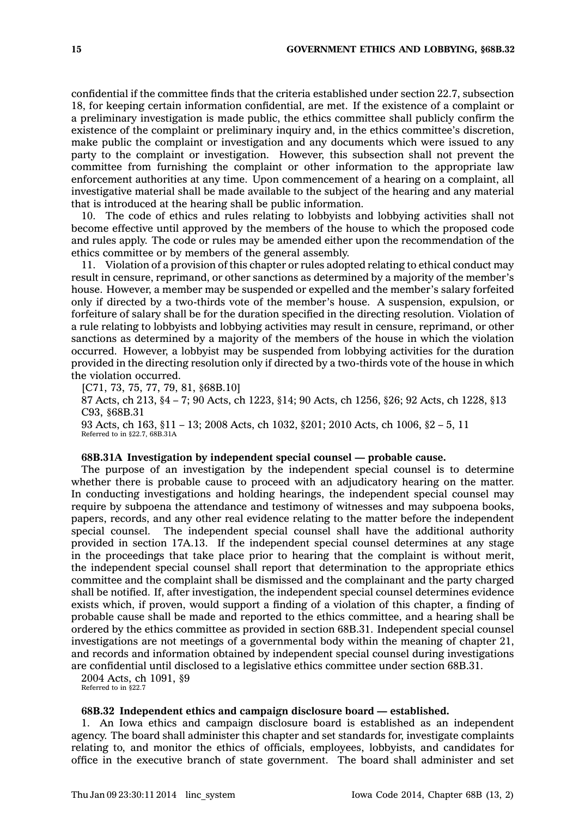confidential if the committee finds that the criteria established under section 22.7, subsection 18, for keeping certain information confidential, are met. If the existence of <sup>a</sup> complaint or <sup>a</sup> preliminary investigation is made public, the ethics committee shall publicly confirm the existence of the complaint or preliminary inquiry and, in the ethics committee's discretion, make public the complaint or investigation and any documents which were issued to any party to the complaint or investigation. However, this subsection shall not prevent the committee from furnishing the complaint or other information to the appropriate law enforcement authorities at any time. Upon commencement of <sup>a</sup> hearing on <sup>a</sup> complaint, all investigative material shall be made available to the subject of the hearing and any material that is introduced at the hearing shall be public information.

10. The code of ethics and rules relating to lobbyists and lobbying activities shall not become effective until approved by the members of the house to which the proposed code and rules apply. The code or rules may be amended either upon the recommendation of the ethics committee or by members of the general assembly.

11. Violation of <sup>a</sup> provision of this chapter or rules adopted relating to ethical conduct may result in censure, reprimand, or other sanctions as determined by <sup>a</sup> majority of the member's house. However, <sup>a</sup> member may be suspended or expelled and the member's salary forfeited only if directed by <sup>a</sup> two-thirds vote of the member's house. A suspension, expulsion, or forfeiture of salary shall be for the duration specified in the directing resolution. Violation of <sup>a</sup> rule relating to lobbyists and lobbying activities may result in censure, reprimand, or other sanctions as determined by <sup>a</sup> majority of the members of the house in which the violation occurred. However, <sup>a</sup> lobbyist may be suspended from lobbying activities for the duration provided in the directing resolution only if directed by <sup>a</sup> two-thirds vote of the house in which the violation occurred.

[C71, 73, 75, 77, 79, 81, §68B.10]

87 Acts, ch 213, §4 – 7; 90 Acts, ch 1223, §14; 90 Acts, ch 1256, §26; 92 Acts, ch 1228, §13 C93, §68B.31

93 Acts, ch 163, §11 – 13; 2008 Acts, ch 1032, §201; 2010 Acts, ch 1006, §2 – 5, 11 Referred to in §22.7, 68B.31A

#### **68B.31A Investigation by independent special counsel —probable cause.**

The purpose of an investigation by the independent special counsel is to determine whether there is probable cause to proceed with an adjudicatory hearing on the matter. In conducting investigations and holding hearings, the independent special counsel may require by subpoena the attendance and testimony of witnesses and may subpoena books, papers, records, and any other real evidence relating to the matter before the independent special counsel. The independent special counsel shall have the additional authority provided in section 17A.13. If the independent special counsel determines at any stage in the proceedings that take place prior to hearing that the complaint is without merit, the independent special counsel shall report that determination to the appropriate ethics committee and the complaint shall be dismissed and the complainant and the party charged shall be notified. If, after investigation, the independent special counsel determines evidence exists which, if proven, would support <sup>a</sup> finding of <sup>a</sup> violation of this chapter, <sup>a</sup> finding of probable cause shall be made and reported to the ethics committee, and <sup>a</sup> hearing shall be ordered by the ethics committee as provided in section 68B.31. Independent special counsel investigations are not meetings of <sup>a</sup> governmental body within the meaning of chapter 21, and records and information obtained by independent special counsel during investigations are confidential until disclosed to <sup>a</sup> legislative ethics committee under section 68B.31.

2004 Acts, ch 1091, §9

Referred to in §22.7

### **68B.32 Independent ethics and campaign disclosure board — established.**

1. An Iowa ethics and campaign disclosure board is established as an independent agency. The board shall administer this chapter and set standards for, investigate complaints relating to, and monitor the ethics of officials, employees, lobbyists, and candidates for office in the executive branch of state government. The board shall administer and set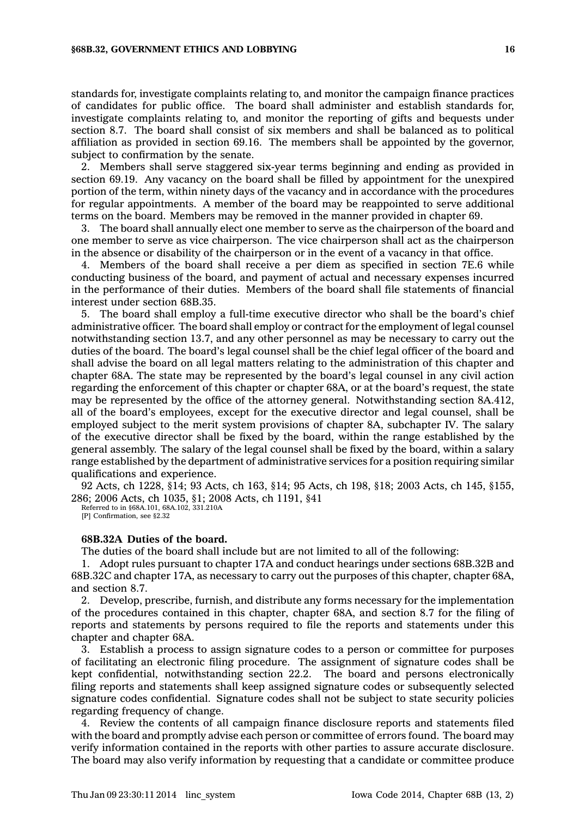standards for, investigate complaints relating to, and monitor the campaign finance practices of candidates for public office. The board shall administer and establish standards for, investigate complaints relating to, and monitor the reporting of gifts and bequests under section 8.7. The board shall consist of six members and shall be balanced as to political affiliation as provided in section 69.16. The members shall be appointed by the governor, subject to confirmation by the senate.

2. Members shall serve staggered six-year terms beginning and ending as provided in section 69.19. Any vacancy on the board shall be filled by appointment for the unexpired portion of the term, within ninety days of the vacancy and in accordance with the procedures for regular appointments. A member of the board may be reappointed to serve additional terms on the board. Members may be removed in the manner provided in chapter 69.

3. The board shall annually elect one member to serve as the chairperson of the board and one member to serve as vice chairperson. The vice chairperson shall act as the chairperson in the absence or disability of the chairperson or in the event of <sup>a</sup> vacancy in that office.

4. Members of the board shall receive <sup>a</sup> per diem as specified in section 7E.6 while conducting business of the board, and payment of actual and necessary expenses incurred in the performance of their duties. Members of the board shall file statements of financial interest under section 68B.35.

5. The board shall employ <sup>a</sup> full-time executive director who shall be the board's chief administrative officer. The board shall employ or contract for the employment of legal counsel notwithstanding section 13.7, and any other personnel as may be necessary to carry out the duties of the board. The board's legal counsel shall be the chief legal officer of the board and shall advise the board on all legal matters relating to the administration of this chapter and chapter 68A. The state may be represented by the board's legal counsel in any civil action regarding the enforcement of this chapter or chapter 68A, or at the board's request, the state may be represented by the office of the attorney general. Notwithstanding section 8A.412, all of the board's employees, except for the executive director and legal counsel, shall be employed subject to the merit system provisions of chapter 8A, subchapter IV. The salary of the executive director shall be fixed by the board, within the range established by the general assembly. The salary of the legal counsel shall be fixed by the board, within <sup>a</sup> salary range established by the department of administrative services for <sup>a</sup> position requiring similar qualifications and experience.

92 Acts, ch 1228, §14; 93 Acts, ch 163, §14; 95 Acts, ch 198, §18; 2003 Acts, ch 145, §155, 286; 2006 Acts, ch 1035, §1; 2008 Acts, ch 1191, §41

Referred to in §68A.101, 68A.102, 331.210A [P] Confirmation, see §2.32

### **68B.32A Duties of the board.**

The duties of the board shall include but are not limited to all of the following:

1. Adopt rules pursuant to chapter 17A and conduct hearings under sections 68B.32B and 68B.32C and chapter 17A, as necessary to carry out the purposes of this chapter, chapter 68A, and section 8.7.

2. Develop, prescribe, furnish, and distribute any forms necessary for the implementation of the procedures contained in this chapter, chapter 68A, and section 8.7 for the filing of reports and statements by persons required to file the reports and statements under this chapter and chapter 68A.

3. Establish <sup>a</sup> process to assign signature codes to <sup>a</sup> person or committee for purposes of facilitating an electronic filing procedure. The assignment of signature codes shall be kept confidential, notwithstanding section 22.2. The board and persons electronically filing reports and statements shall keep assigned signature codes or subsequently selected signature codes confidential. Signature codes shall not be subject to state security policies regarding frequency of change.

4. Review the contents of all campaign finance disclosure reports and statements filed with the board and promptly advise each person or committee of errors found. The board may verify information contained in the reports with other parties to assure accurate disclosure. The board may also verify information by requesting that <sup>a</sup> candidate or committee produce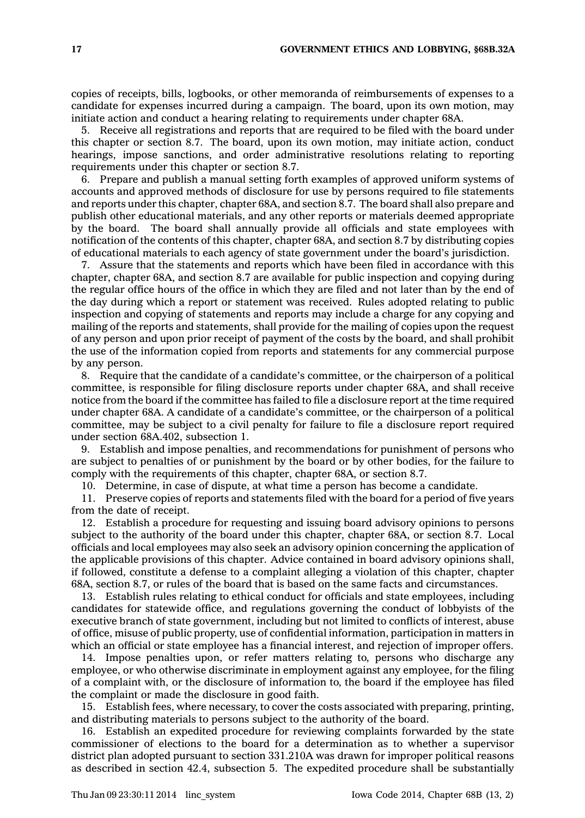copies of receipts, bills, logbooks, or other memoranda of reimbursements of expenses to <sup>a</sup> candidate for expenses incurred during <sup>a</sup> campaign. The board, upon its own motion, may initiate action and conduct <sup>a</sup> hearing relating to requirements under chapter 68A.

5. Receive all registrations and reports that are required to be filed with the board under this chapter or section 8.7. The board, upon its own motion, may initiate action, conduct hearings, impose sanctions, and order administrative resolutions relating to reporting requirements under this chapter or section 8.7.

6. Prepare and publish <sup>a</sup> manual setting forth examples of approved uniform systems of accounts and approved methods of disclosure for use by persons required to file statements and reports under this chapter, chapter 68A, and section 8.7. The board shall also prepare and publish other educational materials, and any other reports or materials deemed appropriate by the board. The board shall annually provide all officials and state employees with notification of the contents of this chapter, chapter 68A, and section 8.7 by distributing copies of educational materials to each agency of state government under the board's jurisdiction.

7. Assure that the statements and reports which have been filed in accordance with this chapter, chapter 68A, and section 8.7 are available for public inspection and copying during the regular office hours of the office in which they are filed and not later than by the end of the day during which <sup>a</sup> report or statement was received. Rules adopted relating to public inspection and copying of statements and reports may include <sup>a</sup> charge for any copying and mailing of the reports and statements, shall provide for the mailing of copies upon the request of any person and upon prior receipt of payment of the costs by the board, and shall prohibit the use of the information copied from reports and statements for any commercial purpose by any person.

8. Require that the candidate of <sup>a</sup> candidate's committee, or the chairperson of <sup>a</sup> political committee, is responsible for filing disclosure reports under chapter 68A, and shall receive notice from the board if the committee has failed to file <sup>a</sup> disclosure report at the time required under chapter 68A. A candidate of <sup>a</sup> candidate's committee, or the chairperson of <sup>a</sup> political committee, may be subject to <sup>a</sup> civil penalty for failure to file <sup>a</sup> disclosure report required under section 68A.402, subsection 1.

9. Establish and impose penalties, and recommendations for punishment of persons who are subject to penalties of or punishment by the board or by other bodies, for the failure to comply with the requirements of this chapter, chapter 68A, or section 8.7.

10. Determine, in case of dispute, at what time <sup>a</sup> person has become <sup>a</sup> candidate.

11. Preserve copies of reports and statements filed with the board for <sup>a</sup> period of five years from the date of receipt.

12. Establish <sup>a</sup> procedure for requesting and issuing board advisory opinions to persons subject to the authority of the board under this chapter, chapter 68A, or section 8.7. Local officials and local employees may also seek an advisory opinion concerning the application of the applicable provisions of this chapter. Advice contained in board advisory opinions shall, if followed, constitute <sup>a</sup> defense to <sup>a</sup> complaint alleging <sup>a</sup> violation of this chapter, chapter 68A, section 8.7, or rules of the board that is based on the same facts and circumstances.

13. Establish rules relating to ethical conduct for officials and state employees, including candidates for statewide office, and regulations governing the conduct of lobbyists of the executive branch of state government, including but not limited to conflicts of interest, abuse of office, misuse of public property, use of confidential information, participation in matters in which an official or state employee has <sup>a</sup> financial interest, and rejection of improper offers.

14. Impose penalties upon, or refer matters relating to, persons who discharge any employee, or who otherwise discriminate in employment against any employee, for the filing of <sup>a</sup> complaint with, or the disclosure of information to, the board if the employee has filed the complaint or made the disclosure in good faith.

15. Establish fees, where necessary, to cover the costs associated with preparing, printing, and distributing materials to persons subject to the authority of the board.

16. Establish an expedited procedure for reviewing complaints forwarded by the state commissioner of elections to the board for <sup>a</sup> determination as to whether <sup>a</sup> supervisor district plan adopted pursuant to section 331.210A was drawn for improper political reasons as described in section 42.4, subsection 5. The expedited procedure shall be substantially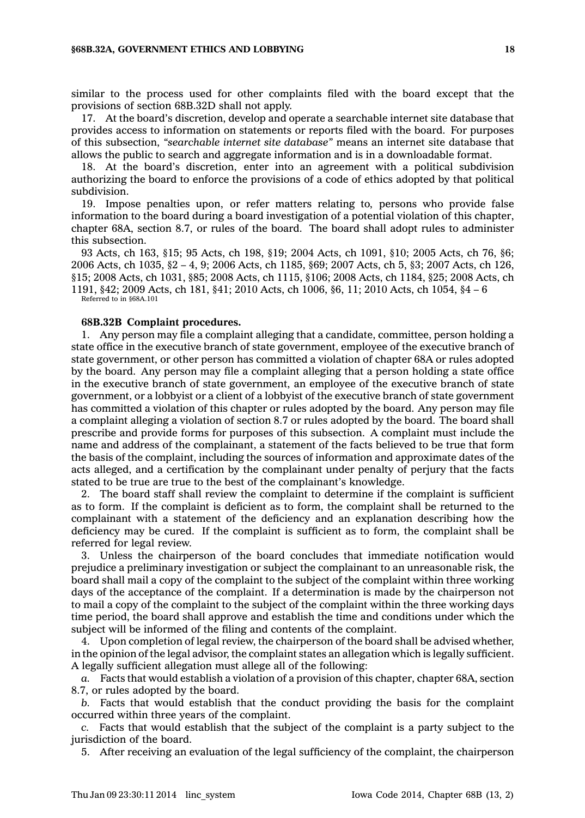similar to the process used for other complaints filed with the board except that the provisions of section 68B.32D shall not apply.

17. At the board's discretion, develop and operate <sup>a</sup> searchable internet site database that provides access to information on statements or reports filed with the board. For purposes of this subsection, *"searchable internet site database"* means an internet site database that allows the public to search and aggregate information and is in <sup>a</sup> downloadable format.

18. At the board's discretion, enter into an agreement with <sup>a</sup> political subdivision authorizing the board to enforce the provisions of <sup>a</sup> code of ethics adopted by that political subdivision.

19. Impose penalties upon, or refer matters relating to, persons who provide false information to the board during <sup>a</sup> board investigation of <sup>a</sup> potential violation of this chapter, chapter 68A, section 8.7, or rules of the board. The board shall adopt rules to administer this subsection.

93 Acts, ch 163, §15; 95 Acts, ch 198, §19; 2004 Acts, ch 1091, §10; 2005 Acts, ch 76, §6; 2006 Acts, ch 1035, §2 – 4, 9; 2006 Acts, ch 1185, §69; 2007 Acts, ch 5, §3; 2007 Acts, ch 126, §15; 2008 Acts, ch 1031, §85; 2008 Acts, ch 1115, §106; 2008 Acts, ch 1184, §25; 2008 Acts, ch 1191, §42; 2009 Acts, ch 181, §41; 2010 Acts, ch 1006, §6, 11; 2010 Acts, ch 1054, §4 – 6 Referred to in §68A.101

## **68B.32B Complaint procedures.**

1. Any person may file <sup>a</sup> complaint alleging that <sup>a</sup> candidate, committee, person holding <sup>a</sup> state office in the executive branch of state government, employee of the executive branch of state government, or other person has committed <sup>a</sup> violation of chapter 68A or rules adopted by the board. Any person may file <sup>a</sup> complaint alleging that <sup>a</sup> person holding <sup>a</sup> state office in the executive branch of state government, an employee of the executive branch of state government, or <sup>a</sup> lobbyist or <sup>a</sup> client of <sup>a</sup> lobbyist of the executive branch of state government has committed <sup>a</sup> violation of this chapter or rules adopted by the board. Any person may file <sup>a</sup> complaint alleging <sup>a</sup> violation of section 8.7 or rules adopted by the board. The board shall prescribe and provide forms for purposes of this subsection. A complaint must include the name and address of the complainant, <sup>a</sup> statement of the facts believed to be true that form the basis of the complaint, including the sources of information and approximate dates of the acts alleged, and <sup>a</sup> certification by the complainant under penalty of perjury that the facts stated to be true are true to the best of the complainant's knowledge.

2. The board staff shall review the complaint to determine if the complaint is sufficient as to form. If the complaint is deficient as to form, the complaint shall be returned to the complainant with <sup>a</sup> statement of the deficiency and an explanation describing how the deficiency may be cured. If the complaint is sufficient as to form, the complaint shall be referred for legal review.

3. Unless the chairperson of the board concludes that immediate notification would prejudice <sup>a</sup> preliminary investigation or subject the complainant to an unreasonable risk, the board shall mail <sup>a</sup> copy of the complaint to the subject of the complaint within three working days of the acceptance of the complaint. If <sup>a</sup> determination is made by the chairperson not to mail <sup>a</sup> copy of the complaint to the subject of the complaint within the three working days time period, the board shall approve and establish the time and conditions under which the subject will be informed of the filing and contents of the complaint.

4. Upon completion of legal review, the chairperson of the board shall be advised whether, in the opinion of the legal advisor, the complaint states an allegation which is legally sufficient. A legally sufficient allegation must allege all of the following:

*a.* Facts that would establish <sup>a</sup> violation of <sup>a</sup> provision of this chapter, chapter 68A, section 8.7, or rules adopted by the board.

*b.* Facts that would establish that the conduct providing the basis for the complaint occurred within three years of the complaint.

*c.* Facts that would establish that the subject of the complaint is <sup>a</sup> party subject to the jurisdiction of the board.

5. After receiving an evaluation of the legal sufficiency of the complaint, the chairperson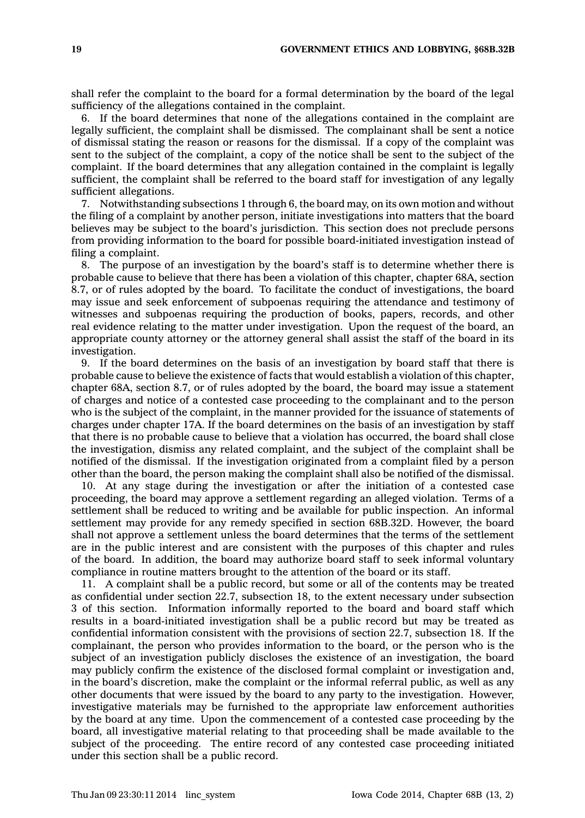shall refer the complaint to the board for <sup>a</sup> formal determination by the board of the legal sufficiency of the allegations contained in the complaint.

6. If the board determines that none of the allegations contained in the complaint are legally sufficient, the complaint shall be dismissed. The complainant shall be sent <sup>a</sup> notice of dismissal stating the reason or reasons for the dismissal. If <sup>a</sup> copy of the complaint was sent to the subject of the complaint, <sup>a</sup> copy of the notice shall be sent to the subject of the complaint. If the board determines that any allegation contained in the complaint is legally sufficient, the complaint shall be referred to the board staff for investigation of any legally sufficient allegations.

7. Notwithstanding subsections 1 through 6, the board may, on its own motion and without the filing of <sup>a</sup> complaint by another person, initiate investigations into matters that the board believes may be subject to the board's jurisdiction. This section does not preclude persons from providing information to the board for possible board-initiated investigation instead of filing <sup>a</sup> complaint.

8. The purpose of an investigation by the board's staff is to determine whether there is probable cause to believe that there has been <sup>a</sup> violation of this chapter, chapter 68A, section 8.7, or of rules adopted by the board. To facilitate the conduct of investigations, the board may issue and seek enforcement of subpoenas requiring the attendance and testimony of witnesses and subpoenas requiring the production of books, papers, records, and other real evidence relating to the matter under investigation. Upon the request of the board, an appropriate county attorney or the attorney general shall assist the staff of the board in its investigation.

9. If the board determines on the basis of an investigation by board staff that there is probable cause to believe the existence of facts that would establish <sup>a</sup> violation of this chapter, chapter 68A, section 8.7, or of rules adopted by the board, the board may issue <sup>a</sup> statement of charges and notice of <sup>a</sup> contested case proceeding to the complainant and to the person who is the subject of the complaint, in the manner provided for the issuance of statements of charges under chapter 17A. If the board determines on the basis of an investigation by staff that there is no probable cause to believe that <sup>a</sup> violation has occurred, the board shall close the investigation, dismiss any related complaint, and the subject of the complaint shall be notified of the dismissal. If the investigation originated from <sup>a</sup> complaint filed by <sup>a</sup> person other than the board, the person making the complaint shall also be notified of the dismissal.

10. At any stage during the investigation or after the initiation of <sup>a</sup> contested case proceeding, the board may approve <sup>a</sup> settlement regarding an alleged violation. Terms of <sup>a</sup> settlement shall be reduced to writing and be available for public inspection. An informal settlement may provide for any remedy specified in section 68B.32D. However, the board shall not approve <sup>a</sup> settlement unless the board determines that the terms of the settlement are in the public interest and are consistent with the purposes of this chapter and rules of the board. In addition, the board may authorize board staff to seek informal voluntary compliance in routine matters brought to the attention of the board or its staff.

11. A complaint shall be <sup>a</sup> public record, but some or all of the contents may be treated as confidential under section 22.7, subsection 18, to the extent necessary under subsection 3 of this section. Information informally reported to the board and board staff which results in <sup>a</sup> board-initiated investigation shall be <sup>a</sup> public record but may be treated as confidential information consistent with the provisions of section 22.7, subsection 18. If the complainant, the person who provides information to the board, or the person who is the subject of an investigation publicly discloses the existence of an investigation, the board may publicly confirm the existence of the disclosed formal complaint or investigation and, in the board's discretion, make the complaint or the informal referral public, as well as any other documents that were issued by the board to any party to the investigation. However, investigative materials may be furnished to the appropriate law enforcement authorities by the board at any time. Upon the commencement of <sup>a</sup> contested case proceeding by the board, all investigative material relating to that proceeding shall be made available to the subject of the proceeding. The entire record of any contested case proceeding initiated under this section shall be <sup>a</sup> public record.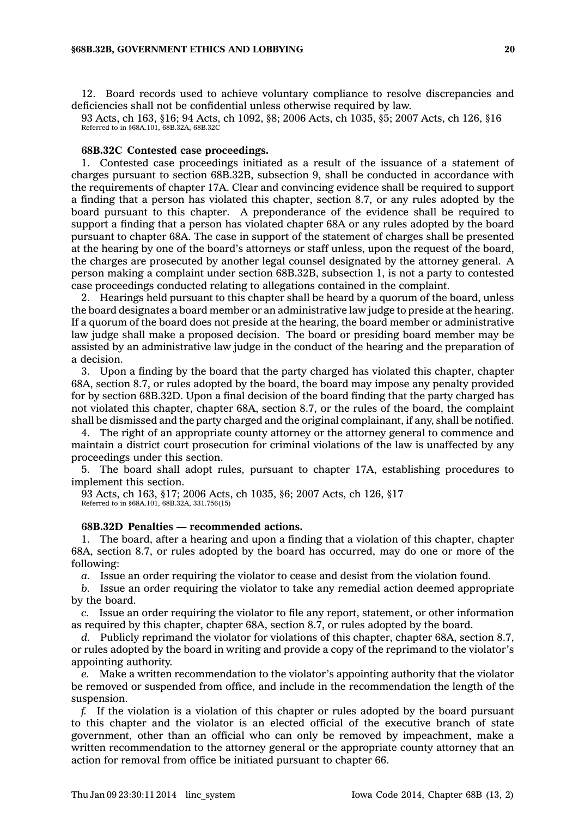12. Board records used to achieve voluntary compliance to resolve discrepancies and deficiencies shall not be confidential unless otherwise required by law.

93 Acts, ch 163, §16; 94 Acts, ch 1092, §8; 2006 Acts, ch 1035, §5; 2007 Acts, ch 126, §16 Referred to in §68A.101, 68B.32A, 68B.32C

#### **68B.32C Contested case proceedings.**

1. Contested case proceedings initiated as <sup>a</sup> result of the issuance of <sup>a</sup> statement of charges pursuant to section 68B.32B, subsection 9, shall be conducted in accordance with the requirements of chapter 17A. Clear and convincing evidence shall be required to support <sup>a</sup> finding that <sup>a</sup> person has violated this chapter, section 8.7, or any rules adopted by the board pursuant to this chapter. A preponderance of the evidence shall be required to support <sup>a</sup> finding that <sup>a</sup> person has violated chapter 68A or any rules adopted by the board pursuant to chapter 68A. The case in support of the statement of charges shall be presented at the hearing by one of the board's attorneys or staff unless, upon the request of the board, the charges are prosecuted by another legal counsel designated by the attorney general. A person making <sup>a</sup> complaint under section 68B.32B, subsection 1, is not <sup>a</sup> party to contested case proceedings conducted relating to allegations contained in the complaint.

2. Hearings held pursuant to this chapter shall be heard by <sup>a</sup> quorum of the board, unless the board designates <sup>a</sup> board member or an administrative law judge to preside at the hearing. If <sup>a</sup> quorum of the board does not preside at the hearing, the board member or administrative law judge shall make <sup>a</sup> proposed decision. The board or presiding board member may be assisted by an administrative law judge in the conduct of the hearing and the preparation of <sup>a</sup> decision.

3. Upon <sup>a</sup> finding by the board that the party charged has violated this chapter, chapter 68A, section 8.7, or rules adopted by the board, the board may impose any penalty provided for by section 68B.32D. Upon <sup>a</sup> final decision of the board finding that the party charged has not violated this chapter, chapter 68A, section 8.7, or the rules of the board, the complaint shall be dismissed and the party charged and the original complainant, if any, shall be notified.

4. The right of an appropriate county attorney or the attorney general to commence and maintain <sup>a</sup> district court prosecution for criminal violations of the law is unaffected by any proceedings under this section.

5. The board shall adopt rules, pursuant to chapter 17A, establishing procedures to implement this section.

93 Acts, ch 163, §17; 2006 Acts, ch 1035, §6; 2007 Acts, ch 126, §17

Referred to in §68A.101, 68B.32A, 331.756(15)

### **68B.32D Penalties — recommended actions.**

1. The board, after <sup>a</sup> hearing and upon <sup>a</sup> finding that <sup>a</sup> violation of this chapter, chapter 68A, section 8.7, or rules adopted by the board has occurred, may do one or more of the following:

*a.* Issue an order requiring the violator to cease and desist from the violation found.

*b.* Issue an order requiring the violator to take any remedial action deemed appropriate by the board.

*c.* Issue an order requiring the violator to file any report, statement, or other information as required by this chapter, chapter 68A, section 8.7, or rules adopted by the board.

*d.* Publicly reprimand the violator for violations of this chapter, chapter 68A, section 8.7, or rules adopted by the board in writing and provide <sup>a</sup> copy of the reprimand to the violator's appointing authority.

*e.* Make <sup>a</sup> written recommendation to the violator's appointing authority that the violator be removed or suspended from office, and include in the recommendation the length of the suspension.

*f.* If the violation is <sup>a</sup> violation of this chapter or rules adopted by the board pursuant to this chapter and the violator is an elected official of the executive branch of state government, other than an official who can only be removed by impeachment, make <sup>a</sup> written recommendation to the attorney general or the appropriate county attorney that an action for removal from office be initiated pursuant to chapter 66.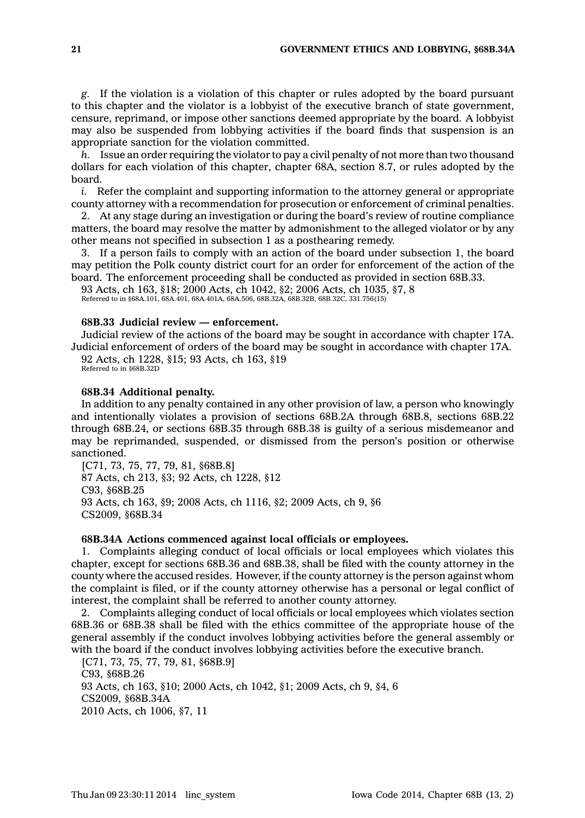*g.* If the violation is <sup>a</sup> violation of this chapter or rules adopted by the board pursuant to this chapter and the violator is <sup>a</sup> lobbyist of the executive branch of state government, censure, reprimand, or impose other sanctions deemed appropriate by the board. A lobbyist may also be suspended from lobbying activities if the board finds that suspension is an appropriate sanction for the violation committed.

*h.* Issue an order requiring the violator to pay <sup>a</sup> civil penalty of not more than two thousand dollars for each violation of this chapter, chapter 68A, section 8.7, or rules adopted by the board.

*i.* Refer the complaint and supporting information to the attorney general or appropriate county attorney with <sup>a</sup> recommendation for prosecution or enforcement of criminal penalties.

2. At any stage during an investigation or during the board's review of routine compliance matters, the board may resolve the matter by admonishment to the alleged violator or by any other means not specified in subsection 1 as <sup>a</sup> posthearing remedy.

3. If <sup>a</sup> person fails to comply with an action of the board under subsection 1, the board may petition the Polk county district court for an order for enforcement of the action of the board. The enforcement proceeding shall be conducted as provided in section 68B.33.

93 Acts, ch 163, §18; 2000 Acts, ch 1042, §2; 2006 Acts, ch 1035, §7, 8 Referred to in §68A.101, 68A.401, 68A.401A, 68A.506, 68B.32A, 68B.32B, 68B.32C, 331.756(15)

### **68B.33 Judicial review — enforcement.**

Judicial review of the actions of the board may be sought in accordance with chapter 17A. Judicial enforcement of orders of the board may be sought in accordance with chapter 17A.

92 Acts, ch 1228, §15; 93 Acts, ch 163, §19 Referred to in \$68B.32D

#### **68B.34 Additional penalty.**

In addition to any penalty contained in any other provision of law, <sup>a</sup> person who knowingly and intentionally violates <sup>a</sup> provision of sections 68B.2A through 68B.8, sections 68B.22 through 68B.24, or sections 68B.35 through 68B.38 is guilty of <sup>a</sup> serious misdemeanor and may be reprimanded, suspended, or dismissed from the person's position or otherwise sanctioned.

[C71, 73, 75, 77, 79, 81, §68B.8] 87 Acts, ch 213, §3; 92 Acts, ch 1228, §12 C93, §68B.25 93 Acts, ch 163, §9; 2008 Acts, ch 1116, §2; 2009 Acts, ch 9, §6 CS2009, §68B.34

### **68B.34A Actions commenced against local officials or employees.**

1. Complaints alleging conduct of local officials or local employees which violates this chapter, except for sections 68B.36 and 68B.38, shall be filed with the county attorney in the county where the accused resides. However, if the county attorney is the person against whom the complaint is filed, or if the county attorney otherwise has <sup>a</sup> personal or legal conflict of interest, the complaint shall be referred to another county attorney.

2. Complaints alleging conduct of local officials or local employees which violates section 68B.36 or 68B.38 shall be filed with the ethics committee of the appropriate house of the general assembly if the conduct involves lobbying activities before the general assembly or with the board if the conduct involves lobbying activities before the executive branch.

[C71, 73, 75, 77, 79, 81, §68B.9] C93, §68B.26 93 Acts, ch 163, §10; 2000 Acts, ch 1042, §1; 2009 Acts, ch 9, §4, 6 CS2009, §68B.34A 2010 Acts, ch 1006, §7, 11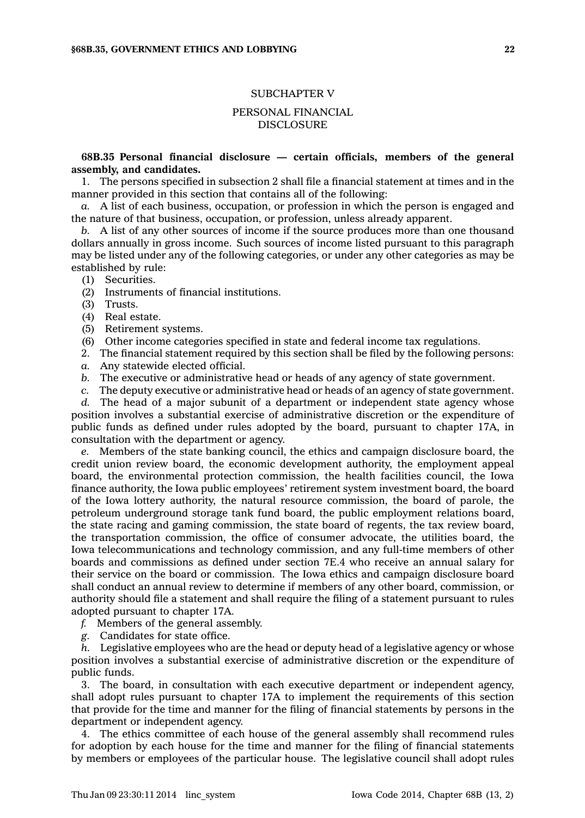### SUBCHAPTER V

## PERSONAL FINANCIAL DISCLOSURE

### **68B.35 Personal financial disclosure — certain officials, members of the general assembly, and candidates.**

1. The persons specified in subsection 2 shall file <sup>a</sup> financial statement at times and in the manner provided in this section that contains all of the following:

*a.* A list of each business, occupation, or profession in which the person is engaged and the nature of that business, occupation, or profession, unless already apparent.

*b.* A list of any other sources of income if the source produces more than one thousand dollars annually in gross income. Such sources of income listed pursuant to this paragraph may be listed under any of the following categories, or under any other categories as may be established by rule:

- (1) Securities.
- (2) Instruments of financial institutions.
- (3) Trusts.
- $(4)$  Real estate.
- (5) Retirement systems.
- (6) Other income categories specified in state and federal income tax regulations.
- 2. The financial statement required by this section shall be filed by the following persons:
- *a.* Any statewide elected official.
- *b.* The executive or administrative head or heads of any agency of state government.
- *c.* The deputy executive or administrative head or heads of an agency of state government.

*d.* The head of <sup>a</sup> major subunit of <sup>a</sup> department or independent state agency whose position involves <sup>a</sup> substantial exercise of administrative discretion or the expenditure of public funds as defined under rules adopted by the board, pursuant to chapter 17A, in consultation with the department or agency.

*e.* Members of the state banking council, the ethics and campaign disclosure board, the credit union review board, the economic development authority, the employment appeal board, the environmental protection commission, the health facilities council, the Iowa finance authority, the Iowa public employees' retirement system investment board, the board of the Iowa lottery authority, the natural resource commission, the board of parole, the petroleum underground storage tank fund board, the public employment relations board, the state racing and gaming commission, the state board of regents, the tax review board, the transportation commission, the office of consumer advocate, the utilities board, the Iowa telecommunications and technology commission, and any full-time members of other boards and commissions as defined under section 7E.4 who receive an annual salary for their service on the board or commission. The Iowa ethics and campaign disclosure board shall conduct an annual review to determine if members of any other board, commission, or authority should file <sup>a</sup> statement and shall require the filing of <sup>a</sup> statement pursuant to rules adopted pursuant to chapter 17A.

- *f.* Members of the general assembly.
- *g.* Candidates for state office.

*h.* Legislative employees who are the head or deputy head of <sup>a</sup> legislative agency or whose position involves <sup>a</sup> substantial exercise of administrative discretion or the expenditure of public funds.

3. The board, in consultation with each executive department or independent agency, shall adopt rules pursuant to chapter 17A to implement the requirements of this section that provide for the time and manner for the filing of financial statements by persons in the department or independent agency.

4. The ethics committee of each house of the general assembly shall recommend rules for adoption by each house for the time and manner for the filing of financial statements by members or employees of the particular house. The legislative council shall adopt rules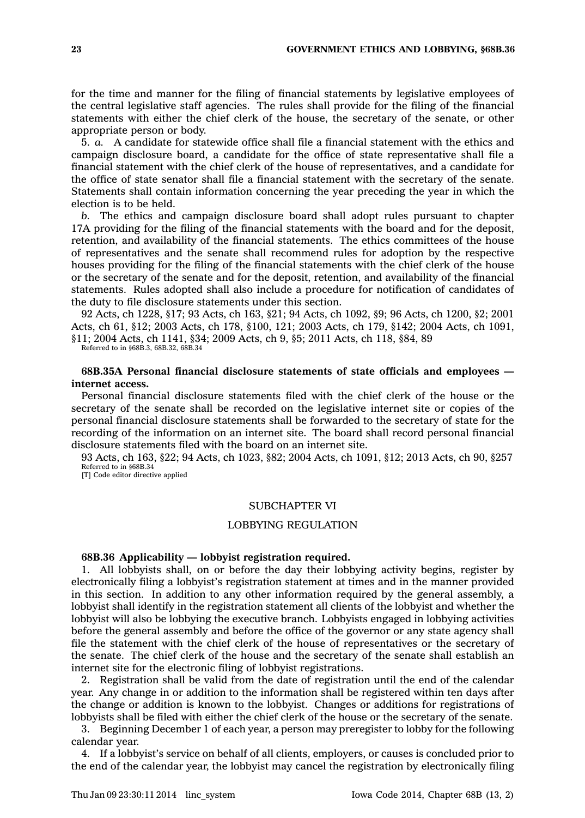for the time and manner for the filing of financial statements by legislative employees of the central legislative staff agencies. The rules shall provide for the filing of the financial statements with either the chief clerk of the house, the secretary of the senate, or other appropriate person or body.

5. *a.* A candidate for statewide office shall file <sup>a</sup> financial statement with the ethics and campaign disclosure board, <sup>a</sup> candidate for the office of state representative shall file <sup>a</sup> financial statement with the chief clerk of the house of representatives, and <sup>a</sup> candidate for the office of state senator shall file <sup>a</sup> financial statement with the secretary of the senate. Statements shall contain information concerning the year preceding the year in which the election is to be held.

*b.* The ethics and campaign disclosure board shall adopt rules pursuant to chapter 17A providing for the filing of the financial statements with the board and for the deposit, retention, and availability of the financial statements. The ethics committees of the house of representatives and the senate shall recommend rules for adoption by the respective houses providing for the filing of the financial statements with the chief clerk of the house or the secretary of the senate and for the deposit, retention, and availability of the financial statements. Rules adopted shall also include <sup>a</sup> procedure for notification of candidates of the duty to file disclosure statements under this section.

92 Acts, ch 1228, §17; 93 Acts, ch 163, §21; 94 Acts, ch 1092, §9; 96 Acts, ch 1200, §2; 2001 Acts, ch 61, §12; 2003 Acts, ch 178, §100, 121; 2003 Acts, ch 179, §142; 2004 Acts, ch 1091, §11; 2004 Acts, ch 1141, §34; 2009 Acts, ch 9, §5; 2011 Acts, ch 118, §84, 89

Referred to in §68B.3, 68B.32, 68B.34

**68B.35A Personal financial disclosure statements of state officials and employees internet access.**

Personal financial disclosure statements filed with the chief clerk of the house or the secretary of the senate shall be recorded on the legislative internet site or copies of the personal financial disclosure statements shall be forwarded to the secretary of state for the recording of the information on an internet site. The board shall record personal financial disclosure statements filed with the board on an internet site.

93 Acts, ch 163, §22; 94 Acts, ch 1023, §82; 2004 Acts, ch 1091, §12; 2013 Acts, ch 90, §257 Referred to in §68B.34

[T] Code editor directive applied

### SUBCHAPTER VI

### LOBBYING REGULATION

#### **68B.36 Applicability — lobbyist registration required.**

1. All lobbyists shall, on or before the day their lobbying activity begins, register by electronically filing <sup>a</sup> lobbyist's registration statement at times and in the manner provided in this section. In addition to any other information required by the general assembly, <sup>a</sup> lobbyist shall identify in the registration statement all clients of the lobbyist and whether the lobbyist will also be lobbying the executive branch. Lobbyists engaged in lobbying activities before the general assembly and before the office of the governor or any state agency shall file the statement with the chief clerk of the house of representatives or the secretary of the senate. The chief clerk of the house and the secretary of the senate shall establish an internet site for the electronic filing of lobbyist registrations.

2. Registration shall be valid from the date of registration until the end of the calendar year. Any change in or addition to the information shall be registered within ten days after the change or addition is known to the lobbyist. Changes or additions for registrations of lobbyists shall be filed with either the chief clerk of the house or the secretary of the senate.

3. Beginning December 1 of each year, <sup>a</sup> person may preregister to lobby for the following calendar year.

4. If <sup>a</sup> lobbyist's service on behalf of all clients, employers, or causes is concluded prior to the end of the calendar year, the lobbyist may cancel the registration by electronically filing